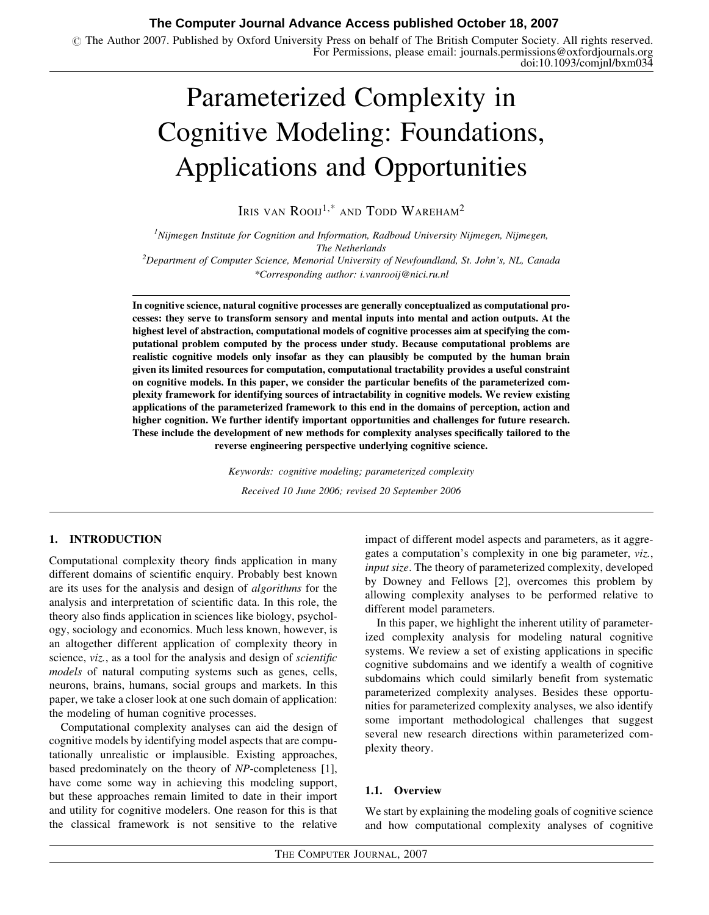$\odot$  The Author 2007. Published by Oxford University Press on behalf of The British Computer Society. All rights reserved. For Permissions, please email: journals.permissions@oxfordjournals.org doi:10.1093/comjnl/bxm034

# Parameterized Complexity in Cognitive Modeling: Foundations, Applications and Opportunities

IRIS VAN ROOIJ<sup>1,\*</sup> AND TODD WAREHAM<sup>2</sup>

<sup>1</sup>Nijmegen Institute for Cognition and Information, Radboud University Nijmegen, Nijmegen, The Netherlands<br><sup>2</sup>Department of Computer Science, Memorial University of Newfoundland, St. John's, NL, Canada \*Corresponding author: i.vanrooij@nici.ru.nl

In cognitive science, natural cognitive processes are generally conceptualized as computational processes: they serve to transform sensory and mental inputs into mental and action outputs. At the highest level of abstraction, computational models of cognitive processes aim at specifying the computational problem computed by the process under study. Because computational problems are realistic cognitive models only insofar as they can plausibly be computed by the human brain given its limited resources for computation, computational tractability provides a useful constraint on cognitive models. In this paper, we consider the particular benefits of the parameterized complexity framework for identifying sources of intractability in cognitive models. We review existing applications of the parameterized framework to this end in the domains of perception, action and higher cognition. We further identify important opportunities and challenges for future research. These include the development of new methods for complexity analyses specifically tailored to the reverse engineering perspective underlying cognitive science.

> Keywords: cognitive modeling; parameterized complexity Received 10 June 2006; revised 20 September 2006

# 1. INTRODUCTION

Computational complexity theory finds application in many different domains of scientific enquiry. Probably best known are its uses for the analysis and design of algorithms for the analysis and interpretation of scientific data. In this role, the theory also finds application in sciences like biology, psychology, sociology and economics. Much less known, however, is an altogether different application of complexity theory in science, *viz.*, as a tool for the analysis and design of *scientific* models of natural computing systems such as genes, cells, neurons, brains, humans, social groups and markets. In this paper, we take a closer look at one such domain of application: the modeling of human cognitive processes.

Computational complexity analyses can aid the design of cognitive models by identifying model aspects that are computationally unrealistic or implausible. Existing approaches, based predominately on the theory of NP-completeness [1], have come some way in achieving this modeling support, but these approaches remain limited to date in their import and utility for cognitive modelers. One reason for this is that the classical framework is not sensitive to the relative

impact of different model aspects and parameters, as it aggregates a computation's complexity in one big parameter, viz., input size. The theory of parameterized complexity, developed by Downey and Fellows [2], overcomes this problem by allowing complexity analyses to be performed relative to different model parameters.

In this paper, we highlight the inherent utility of parameterized complexity analysis for modeling natural cognitive systems. We review a set of existing applications in specific cognitive subdomains and we identify a wealth of cognitive subdomains which could similarly benefit from systematic parameterized complexity analyses. Besides these opportunities for parameterized complexity analyses, we also identify some important methodological challenges that suggest several new research directions within parameterized complexity theory.

# 1.1. Overview

We start by explaining the modeling goals of cognitive science and how computational complexity analyses of cognitive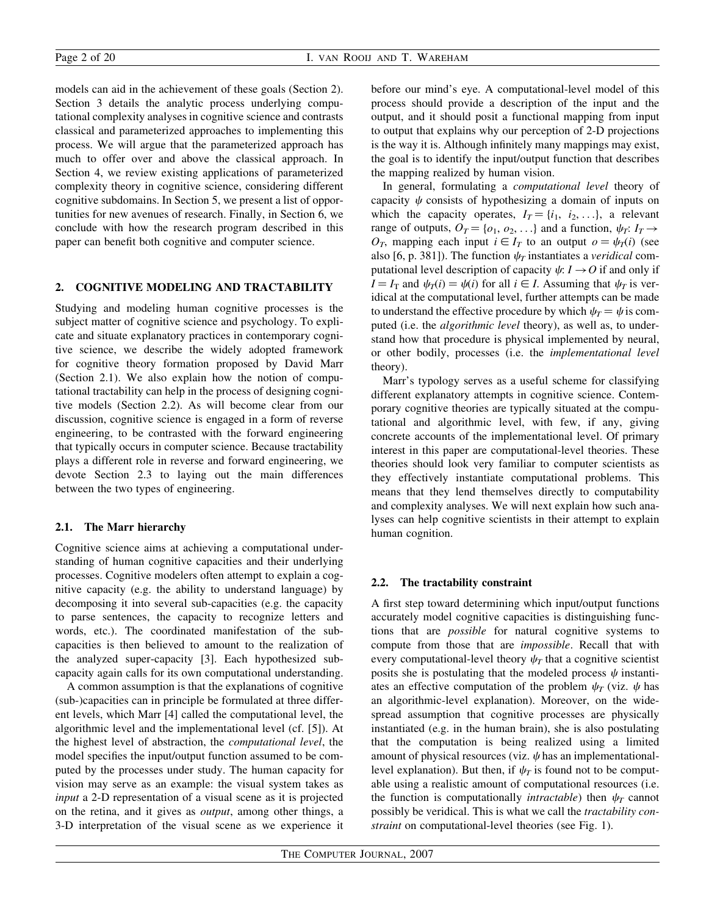models can aid in the achievement of these goals (Section 2). Section 3 details the analytic process underlying computational complexity analyses in cognitive science and contrasts classical and parameterized approaches to implementing this process. We will argue that the parameterized approach has much to offer over and above the classical approach. In Section 4, we review existing applications of parameterized complexity theory in cognitive science, considering different cognitive subdomains. In Section 5, we present a list of opportunities for new avenues of research. Finally, in Section 6, we conclude with how the research program described in this paper can benefit both cognitive and computer science.

### 2. COGNITIVE MODELING AND TRACTABILITY

Studying and modeling human cognitive processes is the subject matter of cognitive science and psychology. To explicate and situate explanatory practices in contemporary cognitive science, we describe the widely adopted framework for cognitive theory formation proposed by David Marr (Section 2.1). We also explain how the notion of computational tractability can help in the process of designing cognitive models (Section 2.2). As will become clear from our discussion, cognitive science is engaged in a form of reverse engineering, to be contrasted with the forward engineering that typically occurs in computer science. Because tractability plays a different role in reverse and forward engineering, we devote Section 2.3 to laying out the main differences between the two types of engineering.

#### 2.1. The Marr hierarchy

Cognitive science aims at achieving a computational understanding of human cognitive capacities and their underlying processes. Cognitive modelers often attempt to explain a cognitive capacity (e.g. the ability to understand language) by decomposing it into several sub-capacities (e.g. the capacity to parse sentences, the capacity to recognize letters and words, etc.). The coordinated manifestation of the subcapacities is then believed to amount to the realization of the analyzed super-capacity [3]. Each hypothesized subcapacity again calls for its own computational understanding.

A common assumption is that the explanations of cognitive (sub-)capacities can in principle be formulated at three different levels, which Marr [4] called the computational level, the algorithmic level and the implementational level (cf. [5]). At the highest level of abstraction, the computational level, the model specifies the input/output function assumed to be computed by the processes under study. The human capacity for vision may serve as an example: the visual system takes as input a 2-D representation of a visual scene as it is projected on the retina, and it gives as output, among other things, a 3-D interpretation of the visual scene as we experience it

before our mind's eye. A computational-level model of this process should provide a description of the input and the output, and it should posit a functional mapping from input to output that explains why our perception of 2-D projections is the way it is. Although infinitely many mappings may exist, the goal is to identify the input/output function that describes the mapping realized by human vision.

In general, formulating a *computational level* theory of capacity  $\psi$  consists of hypothesizing a domain of inputs on which the capacity operates,  $I_T = \{i_1, i_2, ...\}$ , a relevant range of outputs,  $O_T = \{o_1, o_2, ...\}$  and a function,  $\psi_T: I_T \rightarrow$  $O_T$ , mapping each input  $i \in I_T$  to an output  $o = \psi_T(i)$  (see also [6, p. 381]). The function  $\psi_T$  instantiates a veridical computational level description of capacity  $\psi: I \to O$  if and only if  $I = I_T$  and  $\psi_T(i) = \psi(i)$  for all  $i \in I$ . Assuming that  $\psi_T$  is veridical at the computational level, further attempts can be made to understand the effective procedure by which  $\psi_T = \psi$  is computed (i.e. the algorithmic level theory), as well as, to understand how that procedure is physical implemented by neural, or other bodily, processes (i.e. the implementational level theory).

Marr's typology serves as a useful scheme for classifying different explanatory attempts in cognitive science. Contemporary cognitive theories are typically situated at the computational and algorithmic level, with few, if any, giving concrete accounts of the implementational level. Of primary interest in this paper are computational-level theories. These theories should look very familiar to computer scientists as they effectively instantiate computational problems. This means that they lend themselves directly to computability and complexity analyses. We will next explain how such analyses can help cognitive scientists in their attempt to explain human cognition.

### 2.2. The tractability constraint

A first step toward determining which input/output functions accurately model cognitive capacities is distinguishing functions that are possible for natural cognitive systems to compute from those that are impossible. Recall that with every computational-level theory  $\psi_T$  that a cognitive scientist posits she is postulating that the modeled process  $\psi$  instantiates an effective computation of the problem  $\psi_T$  (viz.  $\psi$  has an algorithmic-level explanation). Moreover, on the widespread assumption that cognitive processes are physically instantiated (e.g. in the human brain), she is also postulating that the computation is being realized using a limited amount of physical resources (viz.  $\psi$  has an implementationallevel explanation). But then, if  $\psi_T$  is found not to be computable using a realistic amount of computational resources (i.e. the function is computationally *intractable*) then  $\psi_T$  cannot possibly be veridical. This is what we call the tractability constraint on computational-level theories (see Fig. 1).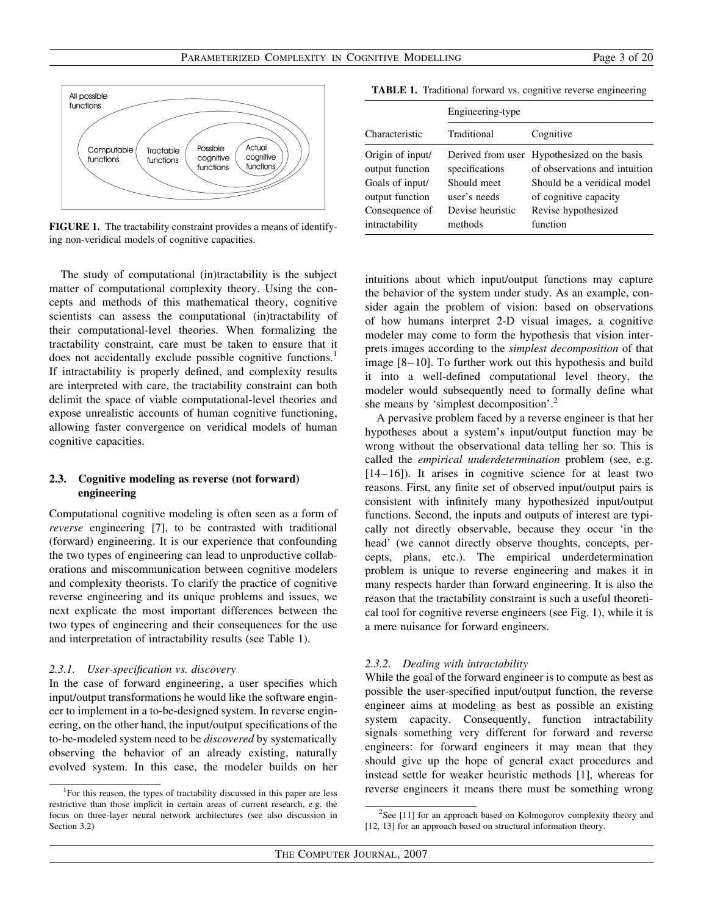



FIGURE 1. The tractability constraint provides a means of identifying non-veridical models of cognitive capacities.

The study of computational (in)tractability is the subject matter of computational complexity theory. Using the concepts and methods of this mathematical theory, cognitive scientists can assess the computational (in)tractability of their computational-level theories. When formalizing the tractability constraint, care must be taken to ensure that it does not accidentally exclude possible cognitive functions.<sup>1</sup> If intractability is properly defined, and complexity results are interpreted with care, the tractability constraint can both delimit the space of viable computational-level theories and expose unrealistic accounts of human cognitive functioning, allowing faster convergence on veridical models of human cognitive capacities.

# 2.3. Cognitive modeling as reverse (not forward) engineering

Computational cognitive modeling is often seen as a form of reverse engineering [7], to be contrasted with traditional (forward) engineering. It is our experience that confounding the two types of engineering can lead to unproductive collaborations and miscommunication between cognitive modelers and complexity theorists. To clarify the practice of cognitive reverse engineering and its unique problems and issues, we next explicate the most important differences between the two types of engineering and their consequences for the use and interpretation of intractability results (see Table 1).

# 2.3.1. User-specification vs. discovery

In the case of forward engineering, a user specifies which input/output transformations he would like the software engineer to implement in a to-be-designed system. In reverse engineering, on the other hand, the input/output specifications of the to-be-modeled system need to be discovered by systematically observing the behavior of an already existing, naturally evolved system. In this case, the modeler builds on her

TABLE 1. Traditional forward vs. cognitive reverse engineering

|                                                                                                               | Engineering-type                                                                                  |                                                                                                                                                       |  |
|---------------------------------------------------------------------------------------------------------------|---------------------------------------------------------------------------------------------------|-------------------------------------------------------------------------------------------------------------------------------------------------------|--|
| Characteristic                                                                                                | Traditional                                                                                       | Cognitive                                                                                                                                             |  |
| Origin of input/<br>output function<br>Goals of input/<br>output function<br>Consequence of<br>intractability | Derived from user<br>specifications<br>Should meet<br>user's needs<br>Devise heuristic<br>methods | Hypothesized on the basis<br>of observations and intuition<br>Should be a veridical model<br>of cognitive capacity<br>Revise hypothesized<br>function |  |

intuitions about which input/output functions may capture the behavior of the system under study. As an example, consider again the problem of vision: based on observations of how humans interpret 2-D visual images, a cognitive modeler may come to form the hypothesis that vision interprets images according to the simplest decomposition of that image [8–10]. To further work out this hypothesis and build it into a well-defined computational level theory, the modeler would subsequently need to formally define what she means by 'simplest decomposition'.<sup>2</sup>

A pervasive problem faced by a reverse engineer is that her hypotheses about a system's input/output function may be wrong without the observational data telling her so. This is called the empirical underdetermination problem (see, e.g.  $[14–16]$ ). It arises in cognitive science for at least two reasons. First, any finite set of observed input/output pairs is consistent with infinitely many hypothesized input/output functions. Second, the inputs and outputs of interest are typically not directly observable, because they occur 'in the head' (we cannot directly observe thoughts, concepts, percepts, plans, etc.). The empirical underdetermination problem is unique to reverse engineering and makes it in many respects harder than forward engineering. It is also the reason that the tractability constraint is such a useful theoretical tool for cognitive reverse engineers (see Fig. 1), while it is a mere nuisance for forward engineers.

# 2.3.2. Dealing with intractability

While the goal of the forward engineer is to compute as best as possible the user-specified input/output function, the reverse engineer aims at modeling as best as possible an existing system capacity. Consequently, function intractability signals something very different for forward and reverse engineers: for forward engineers it may mean that they should give up the hope of general exact procedures and instead settle for weaker heuristic methods [1], whereas for reverse engineers it means there must be something wrong

<sup>&</sup>lt;sup>1</sup>For this reason, the types of tractability discussed in this paper are less restrictive than those implicit in certain areas of current research, e.g. the focus on three-layer neural network architectures (see also discussion in Section 3.2)

 $2$ See [11] for an approach based on Kolmogorov complexity theory and [12, 13] for an approach based on structural information theory.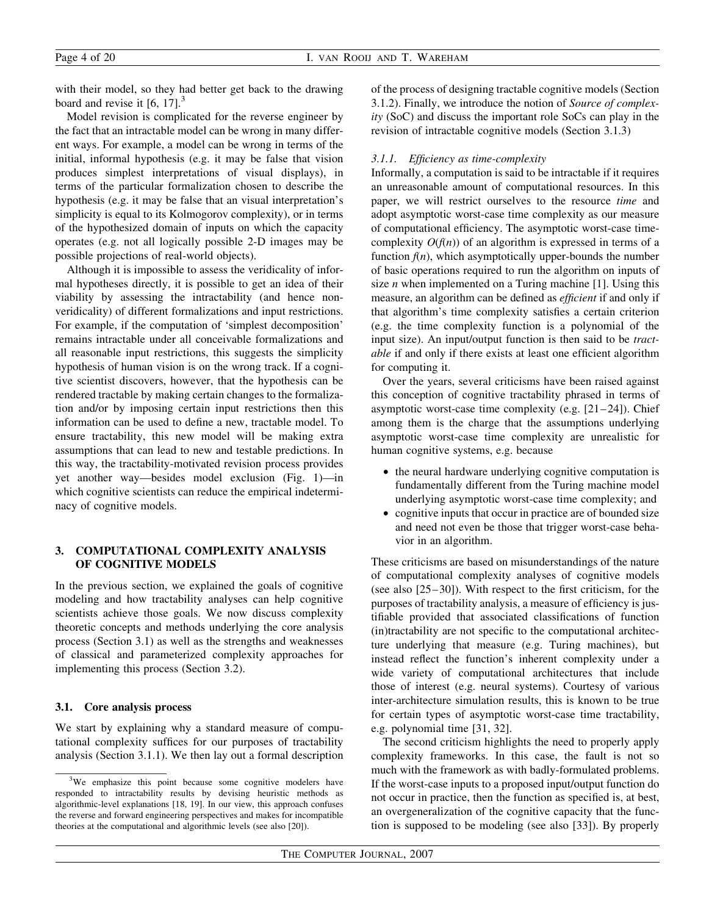with their model, so they had better get back to the drawing board and revise it  $[6, 17]$ .<sup>3</sup>

Model revision is complicated for the reverse engineer by the fact that an intractable model can be wrong in many different ways. For example, a model can be wrong in terms of the initial, informal hypothesis (e.g. it may be false that vision produces simplest interpretations of visual displays), in terms of the particular formalization chosen to describe the hypothesis (e.g. it may be false that an visual interpretation's simplicity is equal to its Kolmogorov complexity), or in terms of the hypothesized domain of inputs on which the capacity operates (e.g. not all logically possible 2-D images may be possible projections of real-world objects).

Although it is impossible to assess the veridicality of informal hypotheses directly, it is possible to get an idea of their viability by assessing the intractability (and hence nonveridicality) of different formalizations and input restrictions. For example, if the computation of 'simplest decomposition' remains intractable under all conceivable formalizations and all reasonable input restrictions, this suggests the simplicity hypothesis of human vision is on the wrong track. If a cognitive scientist discovers, however, that the hypothesis can be rendered tractable by making certain changes to the formalization and/or by imposing certain input restrictions then this information can be used to define a new, tractable model. To ensure tractability, this new model will be making extra assumptions that can lead to new and testable predictions. In this way, the tractability-motivated revision process provides yet another way—besides model exclusion (Fig. 1)—in which cognitive scientists can reduce the empirical indeterminacy of cognitive models.

# 3. COMPUTATIONAL COMPLEXITY ANALYSIS OF COGNITIVE MODELS

In the previous section, we explained the goals of cognitive modeling and how tractability analyses can help cognitive scientists achieve those goals. We now discuss complexity theoretic concepts and methods underlying the core analysis process (Section 3.1) as well as the strengths and weaknesses of classical and parameterized complexity approaches for implementing this process (Section 3.2).

## 3.1. Core analysis process

We start by explaining why a standard measure of computational complexity suffices for our purposes of tractability analysis (Section 3.1.1). We then lay out a formal description of the process of designing tractable cognitive models (Section 3.1.2). Finally, we introduce the notion of Source of complexity (SoC) and discuss the important role SoCs can play in the revision of intractable cognitive models (Section 3.1.3)

# 3.1.1. Efficiency as time-complexity

Informally, a computation is said to be intractable if it requires an unreasonable amount of computational resources. In this paper, we will restrict ourselves to the resource time and adopt asymptotic worst-case time complexity as our measure of computational efficiency. The asymptotic worst-case timecomplexity  $O(f(n))$  of an algorithm is expressed in terms of a function  $f(n)$ , which asymptotically upper-bounds the number of basic operations required to run the algorithm on inputs of size  $n$  when implemented on a Turing machine [1]. Using this measure, an algorithm can be defined as efficient if and only if that algorithm's time complexity satisfies a certain criterion (e.g. the time complexity function is a polynomial of the input size). An input/output function is then said to be tractable if and only if there exists at least one efficient algorithm for computing it.

Over the years, several criticisms have been raised against this conception of cognitive tractability phrased in terms of asymptotic worst-case time complexity (e.g. [21–24]). Chief among them is the charge that the assumptions underlying asymptotic worst-case time complexity are unrealistic for human cognitive systems, e.g. because

- the neural hardware underlying cognitive computation is fundamentally different from the Turing machine model underlying asymptotic worst-case time complexity; and
- cognitive inputs that occur in practice are of bounded size and need not even be those that trigger worst-case behavior in an algorithm.

These criticisms are based on misunderstandings of the nature of computational complexity analyses of cognitive models (see also [25–30]). With respect to the first criticism, for the purposes of tractability analysis, a measure of efficiency is justifiable provided that associated classifications of function (in)tractability are not specific to the computational architecture underlying that measure (e.g. Turing machines), but instead reflect the function's inherent complexity under a wide variety of computational architectures that include those of interest (e.g. neural systems). Courtesy of various inter-architecture simulation results, this is known to be true for certain types of asymptotic worst-case time tractability, e.g. polynomial time [31, 32].

The second criticism highlights the need to properly apply complexity frameworks. In this case, the fault is not so much with the framework as with badly-formulated problems. If the worst-case inputs to a proposed input/output function do not occur in practice, then the function as specified is, at best, an overgeneralization of the cognitive capacity that the function is supposed to be modeling (see also [33]). By properly

<sup>&</sup>lt;sup>3</sup>We emphasize this point because some cognitive modelers have responded to intractability results by devising heuristic methods as algorithmic-level explanations [18, 19]. In our view, this approach confuses the reverse and forward engineering perspectives and makes for incompatible theories at the computational and algorithmic levels (see also [20]).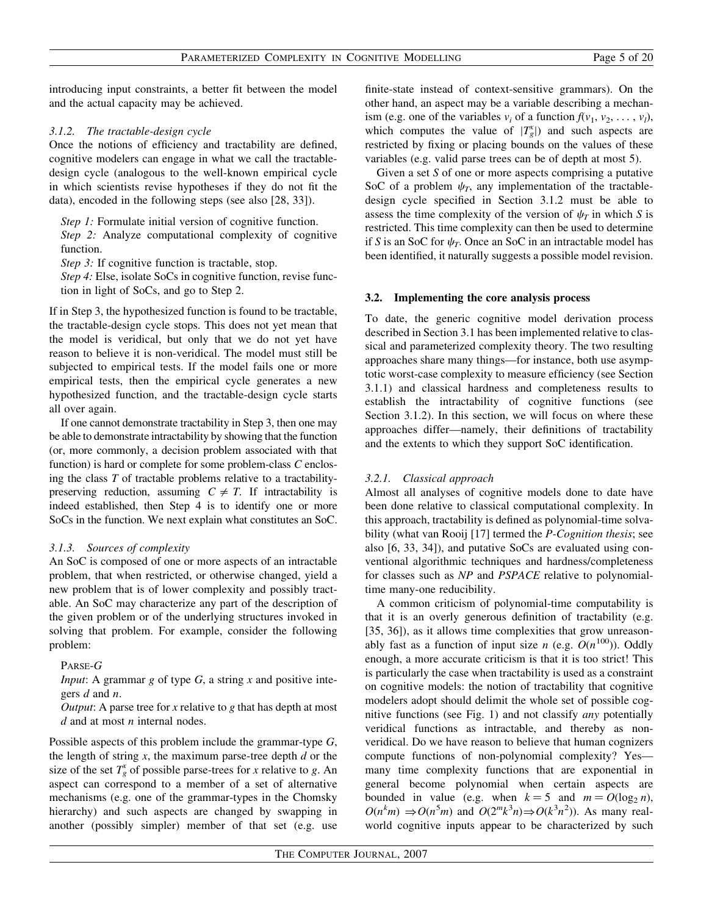introducing input constraints, a better fit between the model and the actual capacity may be achieved.

# 3.1.2. The tractable-design cycle

Once the notions of efficiency and tractability are defined, cognitive modelers can engage in what we call the tractabledesign cycle (analogous to the well-known empirical cycle in which scientists revise hypotheses if they do not fit the data), encoded in the following steps (see also [28, 33]).

Step 1: Formulate initial version of cognitive function. Step 2: Analyze computational complexity of cognitive function.

Step 3: If cognitive function is tractable, stop.

Step 4: Else, isolate SoCs in cognitive function, revise function in light of SoCs, and go to Step 2.

If in Step 3, the hypothesized function is found to be tractable, the tractable-design cycle stops. This does not yet mean that the model is veridical, but only that we do not yet have reason to believe it is non-veridical. The model must still be subjected to empirical tests. If the model fails one or more empirical tests, then the empirical cycle generates a new hypothesized function, and the tractable-design cycle starts all over again.

If one cannot demonstrate tractability in Step 3, then one may be able to demonstrate intractability by showing that the function (or, more commonly, a decision problem associated with that function) is hard or complete for some problem-class C enclosing the class  $T$  of tractable problems relative to a tractabilitypreserving reduction, assuming  $C \neq T$ . If intractability is indeed established, then Step 4 is to identify one or more SoCs in the function. We next explain what constitutes an SoC.

## 3.1.3. Sources of complexity

An SoC is composed of one or more aspects of an intractable problem, that when restricted, or otherwise changed, yield a new problem that is of lower complexity and possibly tractable. An SoC may characterize any part of the description of the given problem or of the underlying structures invoked in solving that problem. For example, consider the following problem:

## PARSE-G

*Input*: A grammar g of type  $G$ , a string x and positive integers d and n.

*Output*: A parse tree for  $x$  relative to  $g$  that has depth at most  $d$  and at most  $n$  internal nodes.

Possible aspects of this problem include the grammar-type G, the length of string  $x$ , the maximum parse-tree depth  $d$  or the size of the set  $T_g^x$  of possible parse-trees for x relative to g. An aspect can correspond to a member of a set of alternative mechanisms (e.g. one of the grammar-types in the Chomsky hierarchy) and such aspects are changed by swapping in another (possibly simpler) member of that set (e.g. use

finite-state instead of context-sensitive grammars). On the other hand, an aspect may be a variable describing a mechanism (e.g. one of the variables  $v_i$  of a function  $f(v_1, v_2, \ldots, v_l)$ ), which computes the value of  $|T_g^x|$ ) and such aspects are restricted by fixing or placing bounds on the values of these variables (e.g. valid parse trees can be of depth at most 5).

Given a set  $S$  of one or more aspects comprising a putative SoC of a problem  $\psi_T$ , any implementation of the tractabledesign cycle specified in Section 3.1.2 must be able to assess the time complexity of the version of  $\psi_T$  in which S is restricted. This time complexity can then be used to determine if S is an SoC for  $\psi_T$ . Once an SoC in an intractable model has been identified, it naturally suggests a possible model revision.

## 3.2. Implementing the core analysis process

To date, the generic cognitive model derivation process described in Section 3.1 has been implemented relative to classical and parameterized complexity theory. The two resulting approaches share many things—for instance, both use asymptotic worst-case complexity to measure efficiency (see Section 3.1.1) and classical hardness and completeness results to establish the intractability of cognitive functions (see Section 3.1.2). In this section, we will focus on where these approaches differ—namely, their definitions of tractability and the extents to which they support SoC identification.

## 3.2.1. Classical approach

Almost all analyses of cognitive models done to date have been done relative to classical computational complexity. In this approach, tractability is defined as polynomial-time solvability (what van Rooij [17] termed the *P-Cognition thesis*; see also [6, 33, 34]), and putative SoCs are evaluated using conventional algorithmic techniques and hardness/completeness for classes such as NP and PSPACE relative to polynomialtime many-one reducibility.

A common criticism of polynomial-time computability is that it is an overly generous definition of tractability (e.g. [35, 36]), as it allows time complexities that grow unreasonably fast as a function of input size n (e.g.  $O(n^{100})$ ). Oddly enough, a more accurate criticism is that it is too strict! This is particularly the case when tractability is used as a constraint on cognitive models: the notion of tractability that cognitive modelers adopt should delimit the whole set of possible cognitive functions (see Fig. 1) and not classify any potentially veridical functions as intractable, and thereby as nonveridical. Do we have reason to believe that human cognizers compute functions of non-polynomial complexity? Yes many time complexity functions that are exponential in general become polynomial when certain aspects are bounded in value (e.g. when  $k = 5$  and  $m = O(\log_2 n)$ ,  $O(n^k m) \Rightarrow O(n^5 m)$  and  $O(2^m k^3 n) \Rightarrow O(k^3 n^2)$ ). As many realworld cognitive inputs appear to be characterized by such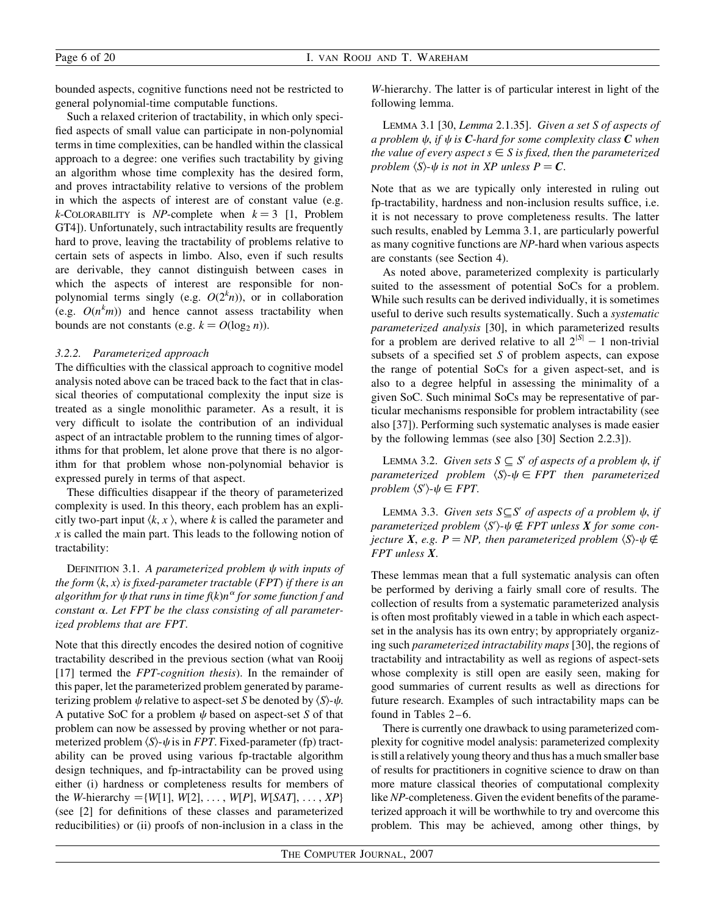bounded aspects, cognitive functions need not be restricted to general polynomial-time computable functions.

Such a relaxed criterion of tractability, in which only specified aspects of small value can participate in non-polynomial terms in time complexities, can be handled within the classical approach to a degree: one verifies such tractability by giving an algorithm whose time complexity has the desired form, and proves intractability relative to versions of the problem in which the aspects of interest are of constant value (e.g.  $k$ -COLORABILITY is NP-complete when  $k = 3$  [1, Problem GT4]). Unfortunately, such intractability results are frequently hard to prove, leaving the tractability of problems relative to certain sets of aspects in limbo. Also, even if such results are derivable, they cannot distinguish between cases in which the aspects of interest are responsible for nonpolynomial terms singly (e.g.  $O(2<sup>k</sup>n)$ ), or in collaboration (e.g.  $O(n^k m)$ ) and hence cannot assess tractability when bounds are not constants (e.g.  $k = O(\log_2 n)$ ).

# 3.2.2. Parameterized approach

The difficulties with the classical approach to cognitive model analysis noted above can be traced back to the fact that in classical theories of computational complexity the input size is treated as a single monolithic parameter. As a result, it is very difficult to isolate the contribution of an individual aspect of an intractable problem to the running times of algorithms for that problem, let alone prove that there is no algorithm for that problem whose non-polynomial behavior is expressed purely in terms of that aspect.

These difficulties disappear if the theory of parameterized complexity is used. In this theory, each problem has an explicitly two-part input  $\langle k, x \rangle$ , where k is called the parameter and  $x$  is called the main part. This leads to the following notion of tractability:

DEFINITION 3.1. A parameterized problem  $\psi$  with inputs of the form  $\langle k, x \rangle$  is fixed-parameter tractable (FPT) if there is an algorithm for  $\psi$  that runs in time  $f(k)n^{\alpha}$  for some function f and constant  $\alpha$ . Let FPT be the class consisting of all parameterized problems that are FPT.

Note that this directly encodes the desired notion of cognitive tractability described in the previous section (what van Rooij [17] termed the *FPT-cognition thesis*). In the remainder of this paper, let the parameterized problem generated by parameterizing problem  $\psi$  relative to aspect-set S be denoted by  $\langle S \rangle$ - $\psi$ . A putative SoC for a problem  $\psi$  based on aspect-set S of that problem can now be assessed by proving whether or not parameterized problem  $\langle S \rangle$ - $\psi$  is in *FPT*. Fixed-parameter (fp) tractability can be proved using various fp-tractable algorithm design techniques, and fp-intractability can be proved using either (i) hardness or completeness results for members of the W-hierarchy =  $\{W[1], W[2], \ldots, W[P], W[SAT], \ldots, XP\}$ (see [2] for definitions of these classes and parameterized reducibilities) or (ii) proofs of non-inclusion in a class in the

W-hierarchy. The latter is of particular interest in light of the following lemma.

LEMMA 3.1 [30, Lemma 2.1.35]. Given a set S of aspects of a problem  $\psi$ , if  $\psi$  is C-hard for some complexity class C when the value of every aspect  $s \in S$  is fixed, then the parameterized problem  $\langle S \rangle$ - $\psi$  is not in XP unless  $P = C$ .

Note that as we are typically only interested in ruling out fp-tractability, hardness and non-inclusion results suffice, i.e. it is not necessary to prove completeness results. The latter such results, enabled by Lemma 3.1, are particularly powerful as many cognitive functions are NP-hard when various aspects are constants (see Section 4).

As noted above, parameterized complexity is particularly suited to the assessment of potential SoCs for a problem. While such results can be derived individually, it is sometimes useful to derive such results systematically. Such a systematic parameterized analysis [30], in which parameterized results for a problem are derived relative to all  $2^{|S|} - 1$  non-trivial subsets of a specified set S of problem aspects, can expose the range of potential SoCs for a given aspect-set, and is also to a degree helpful in assessing the minimality of a given SoC. Such minimal SoCs may be representative of particular mechanisms responsible for problem intractability (see also [37]). Performing such systematic analyses is made easier by the following lemmas (see also [30] Section 2.2.3]).

LEMMA 3.2. Given sets  $S \subseteq S'$  of aspects of a problem  $\psi$ , if parameterized problem  $\langle S \rangle \cdot \psi \in FPT$  then parameterized problem  $\langle S' \rangle \cdot \psi \in FPT$ .

LEMMA 3.3. Given sets  $S \subseteq S'$  of aspects of a problem  $\psi$ , if parameterized problem  $\langle S \rangle$ - $\psi \notin FPT$  unless X for some conjecture X, e.g.  $P = NP$ , then parameterized problem  $\langle S \rangle \cdot \psi \notin$ FPT unless X.

These lemmas mean that a full systematic analysis can often be performed by deriving a fairly small core of results. The collection of results from a systematic parameterized analysis is often most profitably viewed in a table in which each aspectset in the analysis has its own entry; by appropriately organizing such parameterized intractability maps [30], the regions of tractability and intractability as well as regions of aspect-sets whose complexity is still open are easily seen, making for good summaries of current results as well as directions for future research. Examples of such intractability maps can be found in Tables 2–6.

There is currently one drawback to using parameterized complexity for cognitive model analysis: parameterized complexity is still a relatively young theory and thus has a much smaller base of results for practitioners in cognitive science to draw on than more mature classical theories of computational complexity like NP-completeness. Given the evident benefits of the parameterized approach it will be worthwhile to try and overcome this problem. This may be achieved, among other things, by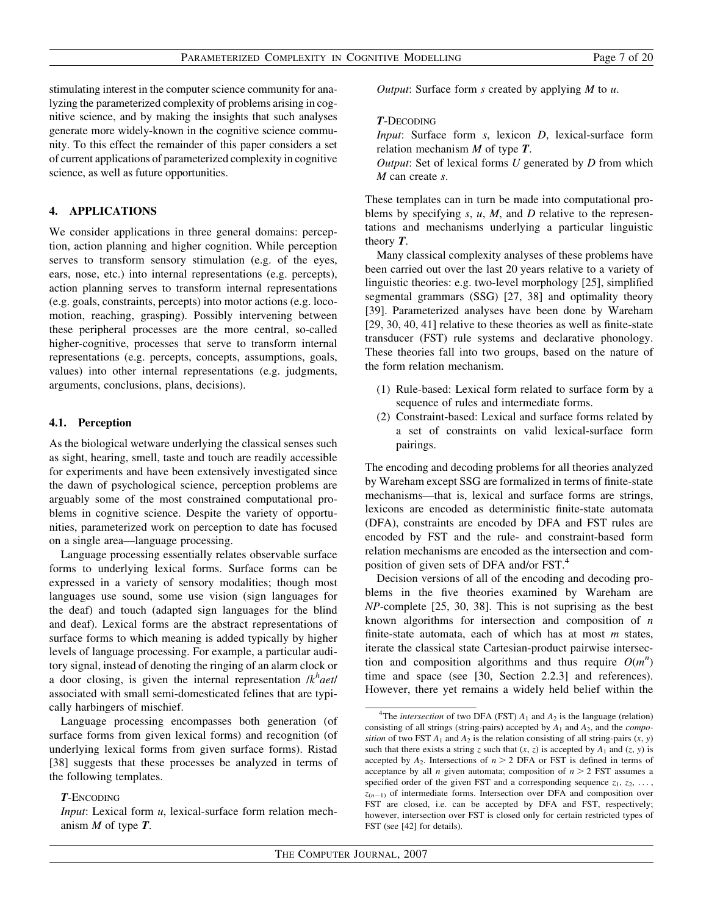stimulating interest in the computer science community for analyzing the parameterized complexity of problems arising in cognitive science, and by making the insights that such analyses generate more widely-known in the cognitive science community. To this effect the remainder of this paper considers a set of current applications of parameterized complexity in cognitive science, as well as future opportunities.

## 4. APPLICATIONS

We consider applications in three general domains: perception, action planning and higher cognition. While perception serves to transform sensory stimulation (e.g. of the eyes, ears, nose, etc.) into internal representations (e.g. percepts), action planning serves to transform internal representations (e.g. goals, constraints, percepts) into motor actions (e.g. locomotion, reaching, grasping). Possibly intervening between these peripheral processes are the more central, so-called higher-cognitive, processes that serve to transform internal representations (e.g. percepts, concepts, assumptions, goals, values) into other internal representations (e.g. judgments, arguments, conclusions, plans, decisions).

## 4.1. Perception

As the biological wetware underlying the classical senses such as sight, hearing, smell, taste and touch are readily accessible for experiments and have been extensively investigated since the dawn of psychological science, perception problems are arguably some of the most constrained computational problems in cognitive science. Despite the variety of opportunities, parameterized work on perception to date has focused on a single area—language processing.

Language processing essentially relates observable surface forms to underlying lexical forms. Surface forms can be expressed in a variety of sensory modalities; though most languages use sound, some use vision (sign languages for the deaf) and touch (adapted sign languages for the blind and deaf). Lexical forms are the abstract representations of surface forms to which meaning is added typically by higher levels of language processing. For example, a particular auditory signal, instead of denoting the ringing of an alarm clock or a door closing, is given the internal representation  $\ell k^h$  *aet/* associated with small semi-domesticated felines that are typically harbingers of mischief.

Language processing encompasses both generation (of surface forms from given lexical forms) and recognition (of underlying lexical forms from given surface forms). Ristad [38] suggests that these processes be analyzed in terms of the following templates.

*Output*: Surface form  $s$  created by applying  $M$  to  $u$ .

#### T-DECODING

Input: Surface form s, lexicon D, lexical-surface form relation mechanism  $M$  of type  $T$ .

Output: Set of lexical forms  $U$  generated by  $D$  from which  $M$  can create  $s$ .

These templates can in turn be made into computational problems by specifying  $s, u, M$ , and  $D$  relative to the representations and mechanisms underlying a particular linguistic theory T.

Many classical complexity analyses of these problems have been carried out over the last 20 years relative to a variety of linguistic theories: e.g. two-level morphology [25], simplified segmental grammars (SSG) [27, 38] and optimality theory [39]. Parameterized analyses have been done by Wareham [29, 30, 40, 41] relative to these theories as well as finite-state transducer (FST) rule systems and declarative phonology. These theories fall into two groups, based on the nature of the form relation mechanism.

- (1) Rule-based: Lexical form related to surface form by a sequence of rules and intermediate forms.
- (2) Constraint-based: Lexical and surface forms related by a set of constraints on valid lexical-surface form pairings.

The encoding and decoding problems for all theories analyzed by Wareham except SSG are formalized in terms of finite-state mechanisms—that is, lexical and surface forms are strings, lexicons are encoded as deterministic finite-state automata (DFA), constraints are encoded by DFA and FST rules are encoded by FST and the rule- and constraint-based form relation mechanisms are encoded as the intersection and composition of given sets of DFA and/or FST.<sup>4</sup>

Decision versions of all of the encoding and decoding problems in the five theories examined by Wareham are NP-complete [25, 30, 38]. This is not suprising as the best known algorithms for intersection and composition of  $n$ finite-state automata, each of which has at most  $m$  states, iterate the classical state Cartesian-product pairwise intersection and composition algorithms and thus require  $O(m^n)$ time and space (see [30, Section 2.2.3] and references). However, there yet remains a widely held belief within the

T-ENCODING

*Input*: Lexical form  $u$ , lexical-surface form relation mechanism  $M$  of type  $T$ .

<sup>&</sup>lt;sup>4</sup>The *intersection* of two DFA (FST)  $A_1$  and  $A_2$  is the language (relation) consisting of all strings (string-pairs) accepted by  $A_1$  and  $A_2$ , and the *compo*sition of two FST  $A_1$  and  $A_2$  is the relation consisting of all string-pairs  $(x, y)$ such that there exists a string z such that  $(x, z)$  is accepted by  $A_1$  and  $(z, y)$  is accepted by  $A_2$ . Intersections of  $n > 2$  DFA or FST is defined in terms of acceptance by all *n* given automata; composition of  $n > 2$  FST assumes a specified order of the given FST and a corresponding sequence  $z_1, z_2, \ldots$ ,  $z_{(n-1)}$  of intermediate forms. Intersection over DFA and composition over FST are closed, i.e. can be accepted by DFA and FST, respectively; however, intersection over FST is closed only for certain restricted types of FST (see [42] for details).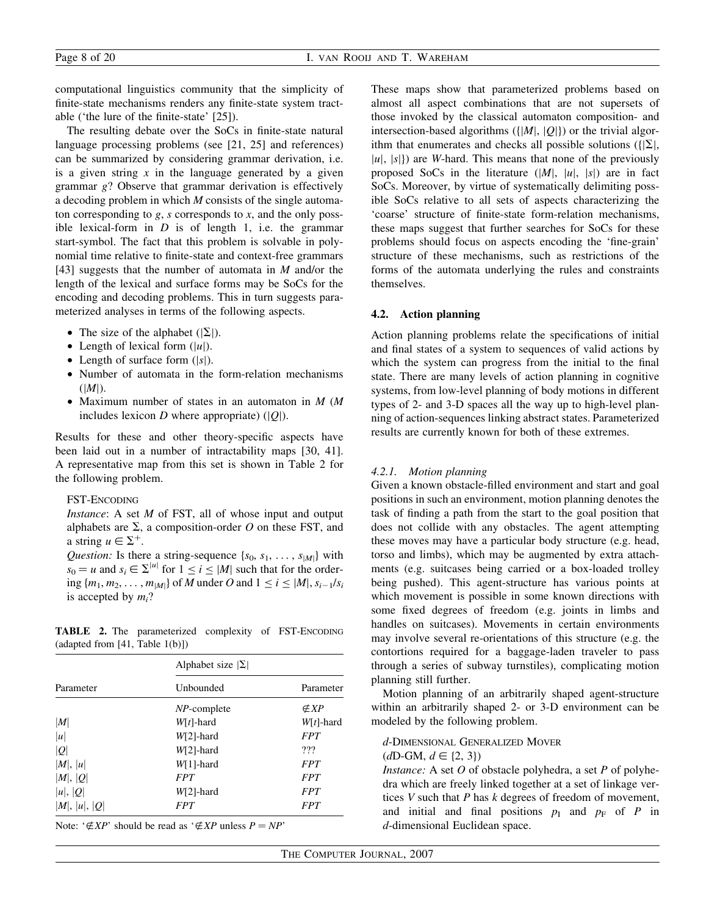computational linguistics community that the simplicity of finite-state mechanisms renders any finite-state system tractable ('the lure of the finite-state' [25]).

The resulting debate over the SoCs in finite-state natural language processing problems (see [21, 25] and references) can be summarized by considering grammar derivation, i.e. is a given string  $x$  in the language generated by a given grammar g? Observe that grammar derivation is effectively a decoding problem in which M consists of the single automaton corresponding to  $g$ ,  $s$  corresponds to  $x$ , and the only possible lexical-form in  $D$  is of length 1, i.e. the grammar start-symbol. The fact that this problem is solvable in polynomial time relative to finite-state and context-free grammars [43] suggests that the number of automata in  $M$  and/or the length of the lexical and surface forms may be SoCs for the encoding and decoding problems. This in turn suggests parameterized analyses in terms of the following aspects.

- The size of the alphabet  $(|\Sigma|)$ .
- Length of lexical form  $(|u|)$ .
- Length of surface form  $(|s|)$ .
- Number of automata in the form-relation mechanisms  $(|M|)$ .
- Maximum number of states in an automaton in  $M$  (M includes lexicon D where appropriate)  $(|Q|)$ .

Results for these and other theory-specific aspects have been laid out in a number of intractability maps [30, 41]. A representative map from this set is shown in Table 2 for the following problem.

## FST-ENCODING

*Instance*: A set  $M$  of FST, all of whose input and output alphabets are  $\Sigma$ , a composition-order O on these FST, and a string  $u \in \Sigma^+$ .

*Question:* Is there a string-sequence  $\{s_0, s_1, \ldots, s_{|M|}\}\$  with  $s_0 = u$  and  $s_i \in \Sigma^{|u|}$  for  $1 \le i \le |M|$  such that for the ordering  $\{m_1, m_2, \ldots, m_{|M|}\}\$  of M under O and  $1 \le i \le |M|, s_{i-1}/s_i$ is accepted by  $m_i$ ?

TABLE 2. The parameterized complexity of FST-ENCODING (adapted from [41, Table 1(b)])

|             | Alphabet size $ \Sigma $ |              |  |
|-------------|--------------------------|--------------|--|
| Parameter   | Unbounded                | Parameter    |  |
|             | $NP$ -complete           | $\notin XP$  |  |
| M           | $W[t]$ -hard             | $W[t]$ -hard |  |
| u           | $W[2]$ -hard             | <b>FPT</b>   |  |
| Q           | $W[2]$ -hard             | ???          |  |
| M ,  u      | W[1]-hard                | <b>FPT</b>   |  |
| M ,  Q      | <b>FPT</b>               | <b>FPT</b>   |  |
| u ,  Q      | W[2]-hard                | <b>FPT</b>   |  |
| M ,  u ,  Q | <b>FPT</b>               | <b>FPT</b>   |  |

Note: ' $\notin XP$ ' should be read as ' $\notin XP$  unless  $P = NP$ '

These maps show that parameterized problems based on almost all aspect combinations that are not supersets of those invoked by the classical automaton composition- and intersection-based algorithms  $({\vert M \vert}, {\vert O \vert})$  or the trivial algorithm that enumerates and checks all possible solutions ( $\{|\Sigma|,$  $|u|$ ,  $|s|$ ) are *W*-hard. This means that none of the previously proposed SoCs in the literature  $(|M|, |u|, |s|)$  are in fact SoCs. Moreover, by virtue of systematically delimiting possible SoCs relative to all sets of aspects characterizing the 'coarse' structure of finite-state form-relation mechanisms, these maps suggest that further searches for SoCs for these problems should focus on aspects encoding the 'fine-grain' structure of these mechanisms, such as restrictions of the forms of the automata underlying the rules and constraints themselves.

#### 4.2. Action planning

Action planning problems relate the specifications of initial and final states of a system to sequences of valid actions by which the system can progress from the initial to the final state. There are many levels of action planning in cognitive systems, from low-level planning of body motions in different types of 2- and 3-D spaces all the way up to high-level planning of action-sequences linking abstract states. Parameterized results are currently known for both of these extremes.

## 4.2.1. Motion planning

Given a known obstacle-filled environment and start and goal positions in such an environment, motion planning denotes the task of finding a path from the start to the goal position that does not collide with any obstacles. The agent attempting these moves may have a particular body structure (e.g. head, torso and limbs), which may be augmented by extra attachments (e.g. suitcases being carried or a box-loaded trolley being pushed). This agent-structure has various points at which movement is possible in some known directions with some fixed degrees of freedom (e.g. joints in limbs and handles on suitcases). Movements in certain environments may involve several re-orientations of this structure (e.g. the contortions required for a baggage-laden traveler to pass through a series of subway turnstiles), complicating motion planning still further.

Motion planning of an arbitrarily shaped agent-structure within an arbitrarily shaped 2- or 3-D environment can be modeled by the following problem.

d-DIMENSIONAL GENERALIZED MOVER

 $(dD-GM, d \in \{2, 3\})$ 

*Instance:* A set  $O$  of obstacle polyhedra, a set  $P$  of polyhedra which are freely linked together at a set of linkage vertices  $V$  such that  $P$  has  $k$  degrees of freedom of movement, and initial and final positions  $p_1$  and  $p_F$  of P in d-dimensional Euclidean space.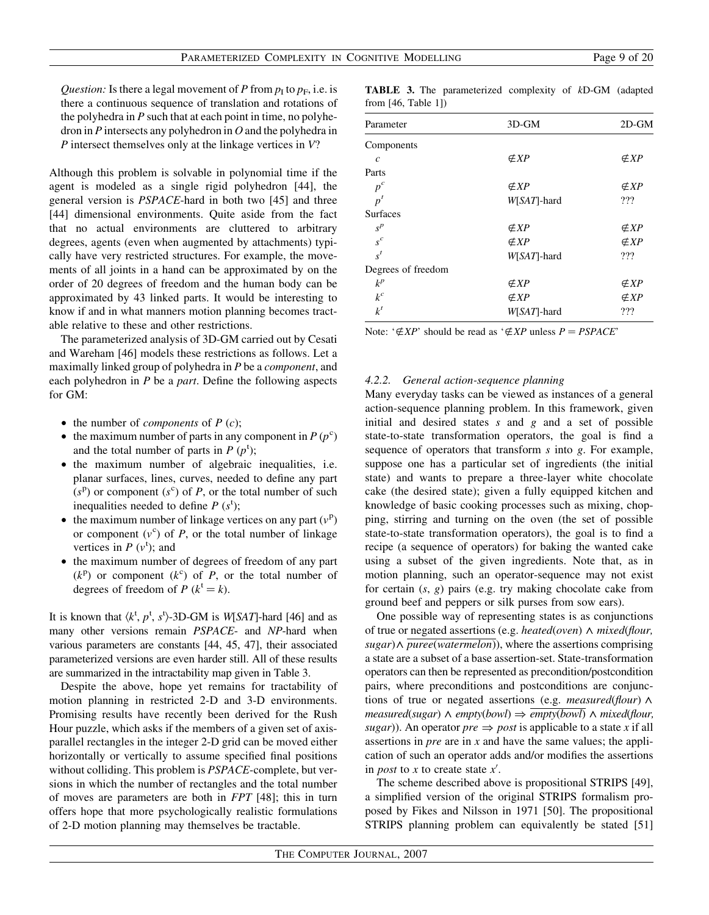Question: Is there a legal movement of P from  $p_1$  to  $p_F$ , i.e. is there a continuous sequence of translation and rotations of the polyhedra in  $P$  such that at each point in time, no polyhedron in  $P$  intersects any polyhedron in  $O$  and the polyhedra in  $P$  intersect themselves only at the linkage vertices in  $V$ ?

Although this problem is solvable in polynomial time if the agent is modeled as a single rigid polyhedron [44], the general version is PSPACE-hard in both two [45] and three [44] dimensional environments. Quite aside from the fact that no actual environments are cluttered to arbitrary degrees, agents (even when augmented by attachments) typically have very restricted structures. For example, the movements of all joints in a hand can be approximated by on the order of 20 degrees of freedom and the human body can be approximated by 43 linked parts. It would be interesting to know if and in what manners motion planning becomes tractable relative to these and other restrictions.

The parameterized analysis of 3D-GM carried out by Cesati and Wareham [46] models these restrictions as follows. Let a maximally linked group of polyhedra in P be a component, and each polyhedron in  $P$  be a *part*. Define the following aspects for GM:

- the number of *components* of  $P(c)$ ;
- the maximum number of parts in any component in  $P (p^c)$ and the total number of parts in  $P(p<sup>t</sup>)$ ;
- the maximum number of algebraic inequalities, i.e. planar surfaces, lines, curves, needed to define any part  $(s<sup>p</sup>)$  or component  $(s<sup>c</sup>)$  of P, or the total number of such inequalities needed to define  $P(s^t)$ ;
- the maximum number of linkage vertices on any part  $(v^p)$ or component  $(v^c)$  of P, or the total number of linkage vertices in  $P(v^t)$ ; and
- the maximum number of degrees of freedom of any part  $(k^p)$  or component  $(k^c)$  of P, or the total number of degrees of freedom of  $P (k^t = k)$ .

It is known that  $\langle k^{\text{t}}, p^{\text{t}}, s^{\text{t}} \rangle$ -3D-GM is W[SAT]-hard [46] and as many other versions remain PSPACE- and NP-hard when various parameters are constants [44, 45, 47], their associated parameterized versions are even harder still. All of these results are summarized in the intractability map given in Table 3.

Despite the above, hope yet remains for tractability of motion planning in restricted 2-D and 3-D environments. Promising results have recently been derived for the Rush Hour puzzle, which asks if the members of a given set of axisparallel rectangles in the integer 2-D grid can be moved either horizontally or vertically to assume specified final positions without colliding. This problem is PSPACE-complete, but versions in which the number of rectangles and the total number of moves are parameters are both in FPT [48]; this in turn offers hope that more psychologically realistic formulations of 2-D motion planning may themselves be tractable.

TABLE 3. The parameterized complexity of kD-GM (adapted from [46, Table 1])

| Parameter             | 3D-GM       | $2D-GM$     |
|-----------------------|-------------|-------------|
| Components            |             |             |
| $\mathcal{C}_{0}^{2}$ | $\notin XP$ | $\notin XP$ |
| Parts                 |             |             |
| $p^{c}$               | $\notin XP$ | $\notin XP$ |
| $p^t$                 | W[SAT]-hard | ???         |
| <b>Surfaces</b>       |             |             |
| $s^p$                 | $\notin XP$ | $\notin XP$ |
| $s^c$                 | $\notin XP$ | $\notin XP$ |
| $s^t$                 | W[SAT]-hard | ???         |
| Degrees of freedom    |             |             |
| $k^p$                 | $\notin XP$ | $\notin XP$ |
| $k^c$                 | $\notin XP$ | $\notin XP$ |
| $k^t$                 | W[SAT]-hard | ???         |

Note: ' $\notin XP$ ' should be read as ' $\notin XP$  unless  $P = PSPACE$ '

### 4.2.2. General action-sequence planning

Many everyday tasks can be viewed as instances of a general action-sequence planning problem. In this framework, given initial and desired states  $s$  and  $g$  and a set of possible state-to-state transformation operators, the goal is find a sequence of operators that transform s into g. For example, suppose one has a particular set of ingredients (the initial state) and wants to prepare a three-layer white chocolate cake (the desired state); given a fully equipped kitchen and knowledge of basic cooking processes such as mixing, chopping, stirring and turning on the oven (the set of possible state-to-state transformation operators), the goal is to find a recipe (a sequence of operators) for baking the wanted cake using a subset of the given ingredients. Note that, as in motion planning, such an operator-sequence may not exist for certain  $(s, g)$  pairs (e.g. try making chocolate cake from ground beef and peppers or silk purses from sow ears).

One possible way of representing states is as conjunctions of true or negated assertions (e.g. heated(oven)  $\land$  mixed(flour,  $sugar) \wedge \overline{pure(watermelon)}$ , where the assertions comprising a state are a subset of a base assertion-set. State-transformation operators can then be represented as precondition/postcondition pairs, where preconditions and postconditions are conjunctions of true or negated assertions (e.g. *measured*(*flour*)  $\wedge$ measured(sugar)  $\land$  empty(bowl)  $\Rightarrow$  empty(bowl)  $\land$  mixed(flour, sugar)). An operator  $pre \Rightarrow post$  is applicable to a state x if all assertions in *pre* are in  $x$  and have the same values; the application of such an operator adds and/or modifies the assertions in *post* to x to create state  $x'$ .

The scheme described above is propositional STRIPS [49], a simplified version of the original STRIPS formalism proposed by Fikes and Nilsson in 1971 [50]. The propositional STRIPS planning problem can equivalently be stated [51]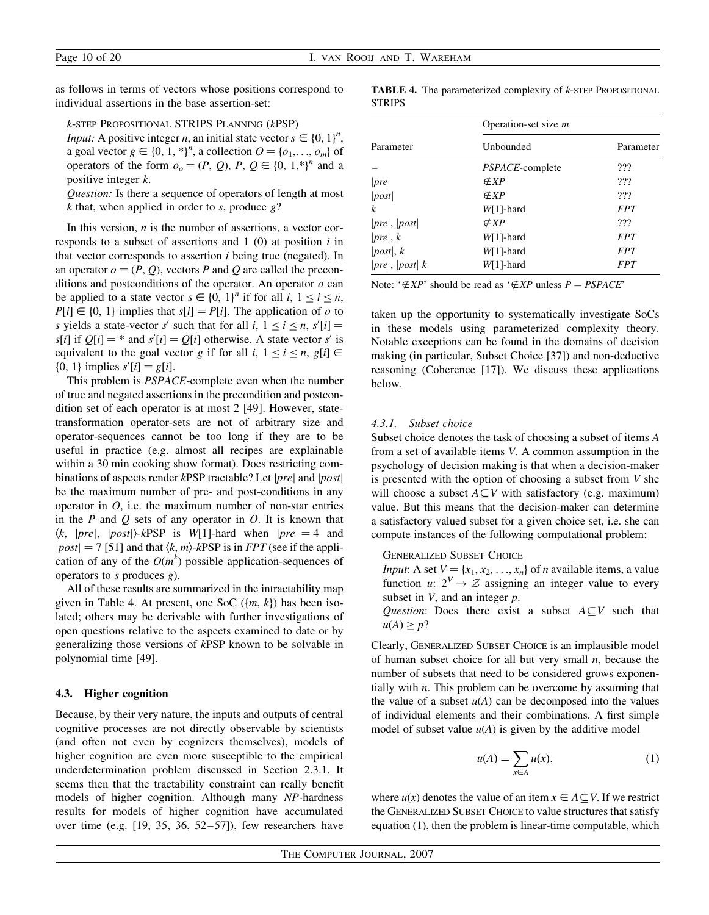as follows in terms of vectors whose positions correspond to individual assertions in the base assertion-set:

|        | <b>TABLE 4.</b> The parameterized complexity of $k$ -STEP PROPOSITIONAL |  |  |
|--------|-------------------------------------------------------------------------|--|--|
| STRIPS |                                                                         |  |  |

k-STEP PROPOSITIONAL STRIPS PLANNING (kPSP)

*Input:* A positive integer *n*, an initial state vector  $s \in \{0, 1\}^n$ , a goal vector  $g \in \{0, 1, *\}^n$ , a collection  $O = \{o_1, \ldots, o_m\}$  of operators of the form  $o_o = (P, Q)$ ,  $P, Q \in \{0, 1, *\}^n$  and a positive integer k.

Question: Is there a sequence of operators of length at most  $k$  that, when applied in order to  $s$ , produce  $g$ ?

In this version,  $n$  is the number of assertions, a vector corresponds to a subset of assertions and  $1(0)$  at position i in that vector corresponds to assertion  $i$  being true (negated). In an operator  $o = (P, Q)$ , vectors P and Q are called the preconditions and postconditions of the operator. An operator  $\rho$  can be applied to a state vector  $s \in \{0, 1\}^n$  if for all  $i, 1 \le i \le n$ ,  $P[i] \in \{0, 1\}$  implies that  $s[i] = P[i]$ . The application of o to s yields a state-vector s' such that for all i,  $1 \le i \le n$ ,  $s'[i] =$ s[i] if  $Q[i] = *$  and  $s'[i] = Q[i]$  otherwise. A state vector s' is equivalent to the goal vector g if for all  $i, 1 \le i \le n, g[i] \in$ {0, 1} implies  $s'[i] = g[i]$ .

This problem is PSPACE-complete even when the number of true and negated assertions in the precondition and postcondition set of each operator is at most 2 [49]. However, statetransformation operator-sets are not of arbitrary size and operator-sequences cannot be too long if they are to be useful in practice (e.g. almost all recipes are explainable within a 30 min cooking show format). Does restricting combinations of aspects render  $k$ PSP tractable? Let  $|pre|$  and  $|post|$ be the maximum number of pre- and post-conditions in any operator in  $O$ , i.e. the maximum number of non-star entries in the  $P$  and  $Q$  sets of any operator in  $Q$ . It is known that  $\langle k, |pre|, |post| \rangle$ -kPSP is W[1]-hard when  $|pre| = 4$  and  $|post| = 7$  [51] and that  $\langle k, m \rangle$ -kPSP is in FPT (see if the application of any of the  $O(m^k)$  possible application-sequences of operators to s produces  $g$ ).

All of these results are summarized in the intractability map given in Table 4. At present, one SoC  $(\{m, k\})$  has been isolated; others may be derivable with further investigations of open questions relative to the aspects examined to date or by generalizing those versions of kPSP known to be solvable in polynomial time [49].

#### 4.3. Higher cognition

Because, by their very nature, the inputs and outputs of central cognitive processes are not directly observable by scientists (and often not even by cognizers themselves), models of higher cognition are even more susceptible to the empirical underdetermination problem discussed in Section 2.3.1. It seems then that the tractability constraint can really benefit models of higher cognition. Although many NP-hardness results for models of higher cognition have accumulated over time (e.g. [19, 35, 36, 52–57]), few researchers have

|                  | Operation-set size $m$  |            |  |
|------------------|-------------------------|------------|--|
| Parameter        | Unbounded               | Parameter  |  |
|                  | <i>PSPACE</i> -complete | ???        |  |
| pre              | $\notin XP$             | ???        |  |
| post             | $\notin XP$             | ???        |  |
| $\boldsymbol{k}$ | W[1]-hard               | <b>FPT</b> |  |
| pre ,  post      | $\notin XP$             | ???        |  |
| pre , k          | W[1]-hard               | <b>FPT</b> |  |
| post , k         | W[1]-hard               | <b>FPT</b> |  |
| pre ,  post  k   | W[1]-hard               | <i>FPT</i> |  |

Note: ' $\notin XP$ ' should be read as ' $\notin XP$  unless  $P = PSPACE$ '

taken up the opportunity to systematically investigate SoCs in these models using parameterized complexity theory. Notable exceptions can be found in the domains of decision making (in particular, Subset Choice [37]) and non-deductive reasoning (Coherence [17]). We discuss these applications below.

#### 4.3.1. Subset choice

Subset choice denotes the task of choosing a subset of items A from a set of available items V. A common assumption in the psychology of decision making is that when a decision-maker is presented with the option of choosing a subset from  $V$  she will choose a subset  $A \subset V$  with satisfactory (e.g. maximum) value. But this means that the decision-maker can determine a satisfactory valued subset for a given choice set, i.e. she can compute instances of the following computational problem:

GENERALIZED SUBSET CHOICE

*Input*: A set  $V = \{x_1, x_2, \ldots, x_n\}$  of *n* available items, a value function  $u: 2^V \rightarrow \mathcal{Z}$  assigning an integer value to every subset in  $V$ , and an integer  $p$ .

Question: Does there exist a subset  $A \subseteq V$  such that  $u(A) \geq p$ ?

Clearly, GENERALIZED SUBSET CHOICE is an implausible model of human subset choice for all but very small  $n$ , because the number of subsets that need to be considered grows exponentially with  $n$ . This problem can be overcome by assuming that the value of a subset  $u(A)$  can be decomposed into the values of individual elements and their combinations. A first simple model of subset value  $u(A)$  is given by the additive model

$$
u(A) = \sum_{x \in A} u(x),\tag{1}
$$

where  $u(x)$  denotes the value of an item  $x \in A \subseteq V$ . If we restrict the GENERALIZED SUBSET CHOICE to value structures that satisfy equation (1), then the problem is linear-time computable, which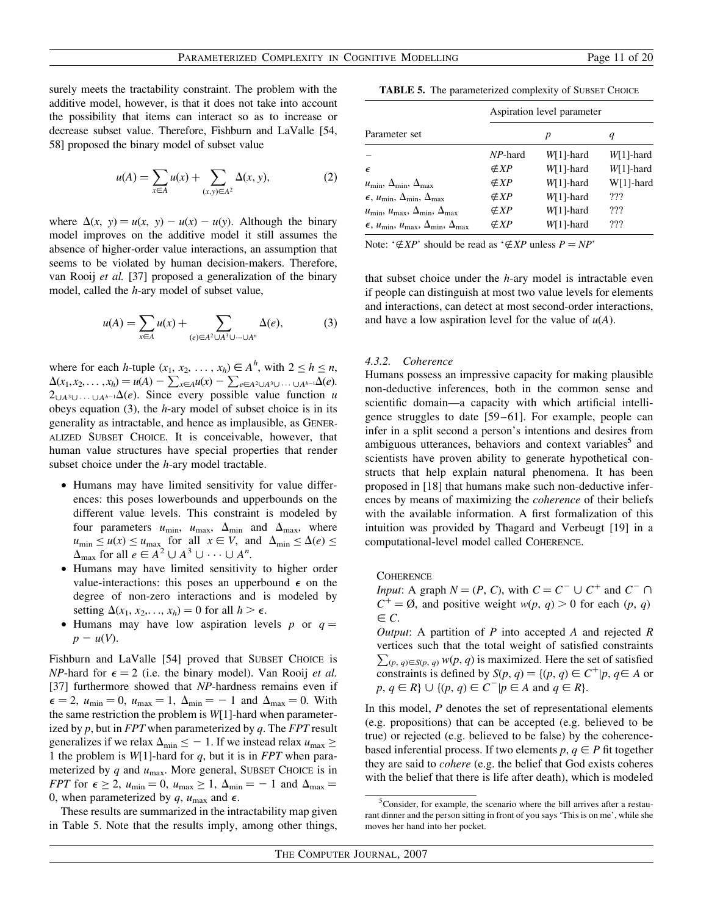surely meets the tractability constraint. The problem with the additive model, however, is that it does not take into account the possibility that items can interact so as to increase or decrease subset value. Therefore, Fishburn and LaValle [54, 58] proposed the binary model of subset value

$$
u(A) = \sum_{x \in A} u(x) + \sum_{(x,y) \in A^2} \Delta(x, y),
$$
 (2)

where  $\Delta(x, y) = u(x, y) - u(x) - u(y)$ . Although the binary model improves on the additive model it still assumes the absence of higher-order value interactions, an assumption that seems to be violated by human decision-makers. Therefore, van Rooij et al. [37] proposed a generalization of the binary model, called the h-ary model of subset value,

$$
u(A) = \sum_{x \in A} u(x) + \sum_{(e) \in A^2 \cup A^3 \cup \dots \cup A^n} \Delta(e),
$$
 (3)

where for each *h*-tuple  $(x_1, x_2, ..., x_h) \in A^h$ , with  $2 \le h \le n$ ,  $\Delta(x_1, x_2, \ldots, x_h) = u(A) - \sum_{x \in A} u(x) - \sum_{e \in A^2 \cup A^3 \cup \cdots \cup A^{h-1}} \Delta(e).$  $2_{\cup A^3 \cup \dots \cup A^{h-1}} \Delta(e)$ . Since every possible value function u obeys equation  $(3)$ , the *h*-ary model of subset choice is in its generality as intractable, and hence as implausible, as GENER-ALIZED SUBSET CHOICE. It is conceivable, however, that human value structures have special properties that render subset choice under the *h*-ary model tractable.

- † Humans may have limited sensitivity for value differences: this poses lowerbounds and upperbounds on the different value levels. This constraint is modeled by four parameters  $u_{\text{min}}$ ,  $u_{\text{max}}$ ,  $\Delta_{\text{min}}$  and  $\Delta_{\text{max}}$ , where  $u_{\min} \le u(x) \le u_{\max}$  for all  $x \in V$ , and  $\Delta_{\min} \le \Delta(e) \le \Delta_{\max}$  for all  $e \in A^2 \cup A^3 \cup \cdots \cup A^n$ .
- † Humans may have limited sensitivity to higher order value-interactions: this poses an upperbound  $\epsilon$  on the degree of non-zero interactions and is modeled by setting  $\Delta(x_1, x_2, \ldots, x_h) = 0$  for all  $h > \epsilon$ .
- Humans may have low aspiration levels p or  $q =$  $p - u(V)$ .

Fishburn and LaValle [54] proved that SUBSET CHOICE is NP-hard for  $\epsilon = 2$  (i.e. the binary model). Van Rooij *et al.* [37] furthermore showed that NP-hardness remains even if  $\epsilon = 2$ ,  $u_{\min} = 0$ ,  $u_{\max} = 1$ ,  $\Delta_{\min} = -1$  and  $\Delta_{\max} = 0$ . With the same restriction the problem is  $W[1]$ -hard when parameterized by  $p$ , but in FPT when parameterized by  $q$ . The FPT result generalizes if we relax  $\Delta_{\min} \leq -1$ . If we instead relax  $u_{\max} \geq$ 1 the problem is  $W[1]$ -hard for q, but it is in FPT when parameterized by q and  $u_{\text{max}}$ . More general, SUBSET CHOICE is in FPT for  $\epsilon \ge 2$ ,  $u_{\min} = 0$ ,  $u_{\max} \ge 1$ ,  $\Delta_{\min} = -1$  and  $\Delta_{\max} =$ 0, when parameterized by q,  $u_{\text{max}}$  and  $\epsilon$ .

These results are summarized in the intractability map given in Table 5. Note that the results imply, among other things,

|                                                                          | Aspiration level parameter |           |              |  |
|--------------------------------------------------------------------------|----------------------------|-----------|--------------|--|
| Parameter set                                                            |                            | p         | q            |  |
|                                                                          | $NP$ -hard                 | W[1]-hard | $W[1]$ -hard |  |
| $\epsilon$                                                               | $\notin XP$                | W[1]-hard | $W[1]$ -hard |  |
| $u_{\min}, \Delta_{\min}, \Delta_{\max}$                                 | $\notin XP$                | W[1]-hard | W[1]-hard    |  |
| $\epsilon$ , $u_{\min}$ , $\Delta_{\min}$ , $\Delta_{\max}$              | $\notin XP$                | W[1]-hard | ???          |  |
| $u_{\min}, u_{\max}, \Delta_{\min}, \Delta_{\max}$                       | $\not\in XP$               | W[1]-hard | ???          |  |
| $\epsilon$ , $u_{\min}$ , $u_{\max}$ , $\Delta_{\min}$ , $\Delta_{\max}$ | $\not\in XP$               | W[1]-hard | ???          |  |

Note: ' $\notin XP$ ' should be read as ' $\notin XP$  unless  $P = NP$ '

that subset choice under the h-ary model is intractable even if people can distinguish at most two value levels for elements and interactions, can detect at most second-order interactions, and have a low aspiration level for the value of  $u(A)$ .

#### 4.3.2. Coherence

Humans possess an impressive capacity for making plausible non-deductive inferences, both in the common sense and scientific domain—a capacity with which artificial intelligence struggles to date [59–61]. For example, people can infer in a split second a person's intentions and desires from ambiguous utterances, behaviors and context variables<sup>5</sup> and scientists have proven ability to generate hypothetical constructs that help explain natural phenomena. It has been proposed in [18] that humans make such non-deductive inferences by means of maximizing the coherence of their beliefs with the available information. A first formalization of this intuition was provided by Thagard and Verbeugt [19] in a computational-level model called COHERENCE.

**COHERENCE** 

*Input*: A graph  $N = (P, C)$ , with  $C = C^{-} \cup C^{+}$  and  $C^{-} \cap$  $C^+ = \emptyset$ , and positive weight  $w(p, q) > 0$  for each  $(p, q)$  $\in C$ .

*Output*: A partition of  $P$  into accepted  $A$  and rejected  $R$ vertices such that the total weight of satisfied constraints  $\sum_{(p, q) \in S(p, q)} w(p, q)$  is maximized. Here the set of satisfied constraints is defined by  $S(p, q) = \{(p, q) \in C^+ | p, q \in A \text{ or } \}$  $p, q \in R$   $\cup$   $\{(p, q) \in C^- | p \in A \text{ and } q \in R\}.$ 

In this model, P denotes the set of representational elements (e.g. propositions) that can be accepted (e.g. believed to be true) or rejected (e.g. believed to be false) by the coherencebased inferential process. If two elements  $p, q \in P$  fit together they are said to cohere (e.g. the belief that God exists coheres with the belief that there is life after death), which is modeled

<sup>&</sup>lt;sup>5</sup>Consider, for example, the scenario where the bill arrives after a restaurant dinner and the person sitting in front of you says 'This is on me', while she moves her hand into her pocket.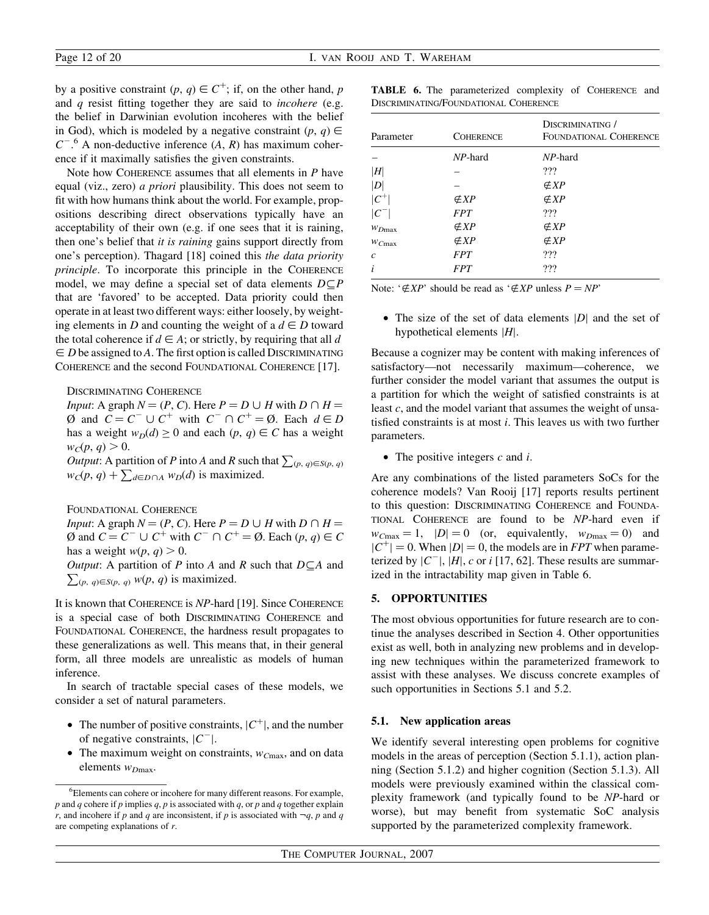by a positive constraint  $(p, q) \in C^+$ ; if, on the other hand, p and  $q$  resist fitting together they are said to *incohere* (e.g. the belief in Darwinian evolution incoheres with the belief in God), which is modeled by a negative constraint  $(p, q) \in$  $C^{-6}$  A non-deductive inference  $(A, R)$  has maximum coherence if it maximally satisfies the given constraints.

Note how COHERENCE assumes that all elements in  $P$  have equal (viz., zero) a priori plausibility. This does not seem to fit with how humans think about the world. For example, propositions describing direct observations typically have an acceptability of their own (e.g. if one sees that it is raining, then one's belief that it is raining gains support directly from one's perception). Thagard [18] coined this the data priority principle. To incorporate this principle in the COHERENCE model, we may define a special set of data elements  $D \subset P$ that are 'favored' to be accepted. Data priority could then operate in at least two different ways: either loosely, by weighting elements in D and counting the weight of a  $d \in D$  toward the total coherence if  $d \in A$ ; or strictly, by requiring that all d  $\in$  D be assigned to A. The first option is called DISCRIMINATING COHERENCE and the second FOUNDATIONAL COHERENCE [17].

#### DISCRIMINATING COHERENCE

*Input*: A graph  $N = (P, C)$ . Here  $P = D \cup H$  with  $D \cap H =$  $\emptyset$  and  $C = C^- \cup C^+$  with  $C^- \cap C^+ = \emptyset$ . Each  $d \in D$ has a weight  $w_D(d) \ge 0$  and each  $(p, q) \in C$  has a weight  $w_C(p, q) > 0.$ 

*Output*: A partition of P into A and R such that  $\sum_{(p, q) \in S(p, q)}$  $w_C(p, q) + \sum_{d \in D \cap A} w_D(d)$  is maximized.

#### FOUNDATIONAL COHERENCE

*Input*: A graph  $N = (P, C)$ . Here  $P = D \cup H$  with  $D \cap H =$  $\emptyset$  and  $C = C^- \cup C^+$  with  $C^- \cap C^+ = \emptyset$ . Each  $(p, q) \in C$ has a weight  $w(p, q) > 0$ .

 $\sum_{(p, q) \in S(p, q)} w(p, q)$  is maximized. *Output*: A partition of P into A and R such that  $D \subseteq A$  and

It is known that COHERENCE is NP-hard [19]. Since COHERENCE is a special case of both DISCRIMINATING COHERENCE and FOUNDATIONAL COHERENCE, the hardness result propagates to these generalizations as well. This means that, in their general form, all three models are unrealistic as models of human inference.

In search of tractable special cases of these models, we consider a set of natural parameters.

- The number of positive constraints,  $|C^{\dagger}|$ , and the number of negative constraints,  $|C^{-}|$ .
- The maximum weight on constraints,  $w_{Cmax}$ , and on data elements  $w_{D\text{max}}$ .

TABLE 6. The parameterized complexity of COHERENCE and DISCRIMINATING/FOUNDATIONAL COHERENCE

| Parameter                 | <b>COHERENCE</b> | DISCRIMINATING /<br><b>FOUNDATIONAL COHERENCE</b> |
|---------------------------|------------------|---------------------------------------------------|
|                           | $NP$ -hard       | $NP$ -hard                                        |
| H                         |                  | ???                                               |
| $\left\vert D\right\vert$ |                  | $\notin XP$                                       |
| $ C^+ $                   | $\notin XP$      | $\not\in XP$                                      |
| $ C^{-} $                 | <b>FPT</b>       | ???                                               |
| $W_{Dmax}$                | $\notin XP$      | $\notin XP$                                       |
| $W_{\text{Cmax}}$         | $\notin XP$      | $\notin XP$                                       |
| $\mathcal{C}$             | <b>FPT</b>       | ???                                               |
| i                         | <b>FPT</b>       | ???                                               |

Note: ' $\notin XP$ ' should be read as ' $\notin XP$  unless  $P = NP$ '

• The size of the set of data elements  $|D|$  and the set of hypothetical elements  $|H|$ .

Because a cognizer may be content with making inferences of satisfactory—not necessarily maximum—coherence, we further consider the model variant that assumes the output is a partition for which the weight of satisfied constraints is at least  $c$ , and the model variant that assumes the weight of unsatisfied constraints is at most  $i$ . This leaves us with two further parameters.

• The positive integers  $c$  and  $i$ .

Are any combinations of the listed parameters SoCs for the coherence models? Van Rooij [17] reports results pertinent to this question: DISCRIMINATING COHERENCE and FOUNDA-TIONAL COHERENCE are found to be NP-hard even if  $w_{\text{Cmax}} = 1$ ,  $|D| = 0$  (or, equivalently,  $w_{\text{Dmax}} = 0$ ) and  $|C^+| = 0$ . When  $|D| = 0$ , the models are in *FPT* when parameterized by  $|C^-|$ ,  $|H|$ , c or i [17, 62]. These results are summarized in the intractability map given in Table 6.

# 5. OPPORTUNITIES

The most obvious opportunities for future research are to continue the analyses described in Section 4. Other opportunities exist as well, both in analyzing new problems and in developing new techniques within the parameterized framework to assist with these analyses. We discuss concrete examples of such opportunities in Sections 5.1 and 5.2.

#### 5.1. New application areas

We identify several interesting open problems for cognitive models in the areas of perception (Section 5.1.1), action planning (Section 5.1.2) and higher cognition (Section 5.1.3). All models were previously examined within the classical complexity framework (and typically found to be NP-hard or worse), but may benefit from systematic SoC analysis supported by the parameterized complexity framework.

<sup>&</sup>lt;sup>6</sup>Elements can cohere or incohere for many different reasons. For example,  $p$  and  $q$  cohere if  $p$  implies  $q$ ,  $p$  is associated with  $q$ , or  $p$  and  $q$  together explain r, and incohere if p and q are inconsistent, if p is associated with  $\neg q$ , p and q are competing explanations of r.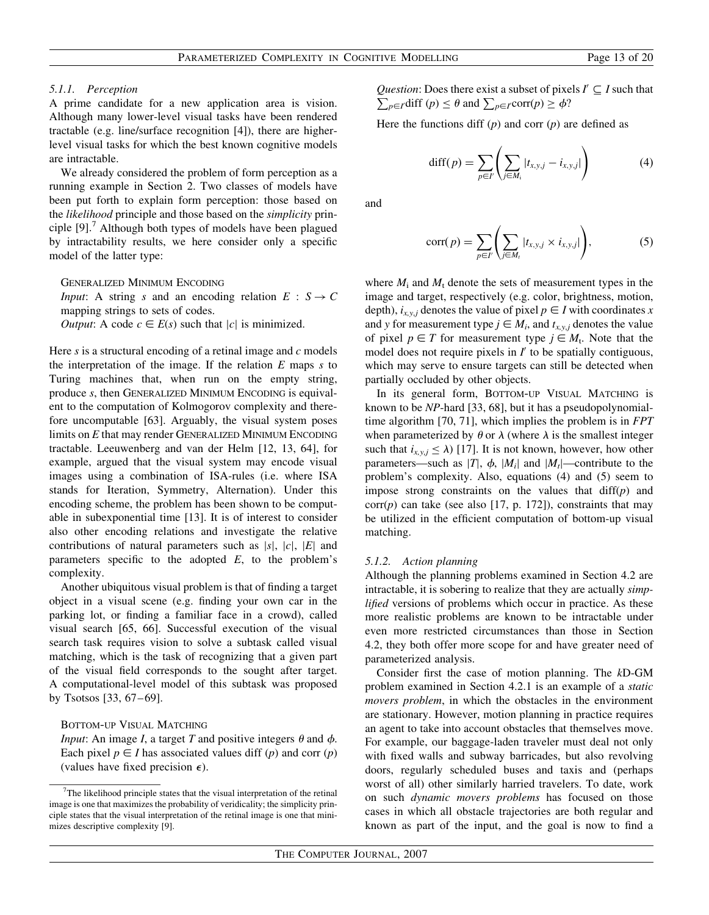#### 5.1.1. Perception

A prime candidate for a new application area is vision. Although many lower-level visual tasks have been rendered tractable (e.g. line/surface recognition [4]), there are higherlevel visual tasks for which the best known cognitive models are intractable.

We already considered the problem of form perception as a running example in Section 2. Two classes of models have been put forth to explain form perception: those based on the likelihood principle and those based on the simplicity principle [9].<sup>7</sup> Although both types of models have been plagued by intractability results, we here consider only a specific model of the latter type:

GENERALIZED MINIMUM ENCODING

*Input*: A string s and an encoding relation  $E : S \rightarrow C$ mapping strings to sets of codes.

*Output*: A code  $c \in E(s)$  such that |c| is minimized.

Here s is a structural encoding of a retinal image and  $c$  models the interpretation of the image. If the relation  $E$  maps  $s$  to Turing machines that, when run on the empty string, produce s, then GENERALIZED MINIMUM ENCODING is equivalent to the computation of Kolmogorov complexity and therefore uncomputable [63]. Arguably, the visual system poses limits on E that may render GENERALIZED MINIMUM ENCODING tractable. Leeuwenberg and van der Helm [12, 13, 64], for example, argued that the visual system may encode visual images using a combination of ISA-rules (i.e. where ISA stands for Iteration, Symmetry, Alternation). Under this encoding scheme, the problem has been shown to be computable in subexponential time [13]. It is of interest to consider also other encoding relations and investigate the relative contributions of natural parameters such as  $|s|$ ,  $|c|$ ,  $|E|$  and parameters specific to the adopted  $E$ , to the problem's complexity.

Another ubiquitous visual problem is that of finding a target object in a visual scene (e.g. finding your own car in the parking lot, or finding a familiar face in a crowd), called visual search [65, 66]. Successful execution of the visual search task requires vision to solve a subtask called visual matching, which is the task of recognizing that a given part of the visual field corresponds to the sought after target. A computational-level model of this subtask was proposed by Tsotsos [33, 67–69].

## BOTTOM-UP VISUAL MATCHING

*Input*: An image *I*, a target *T* and positive integers  $\theta$  and  $\phi$ . Each pixel  $p \in I$  has associated values diff (p) and corr (p) (values have fixed precision  $\epsilon$ ).

Question: Does there exist a subset of pixels  $I' \subseteq I$  such that  $\sum_{i}$   $\text{diff}(n) \leq \theta$  and  $\sum_{i}$   $\text{corr}(n) \geq \theta$ ? besties. Best and  $\sum_{p\in I}$  corr $(p) \ge \phi$ ?

Here the functions diff  $(p)$  and corr  $(p)$  are defined as

$$
diff(p) = \sum_{p \in I'} \left( \sum_{j \in M_i} |t_{x,y,j} - i_{x,y,j}| \right)
$$
 (4)

and

$$
corr(p) = \sum_{p \in I'} \left( \sum_{j \in M_i} |t_{x,y,j} \times i_{x,y,j}| \right), \tag{5}
$$

where  $M_i$  and  $M_t$  denote the sets of measurement types in the image and target, respectively (e.g. color, brightness, motion, depth),  $i_{x,y,i}$  denotes the value of pixel  $p \in I$  with coordinates x and y for measurement type  $j \in M_i$ , and  $t_{x,y,i}$  denotes the value of pixel  $p \in T$  for measurement type  $j \in M_t$ . Note that the model does not require pixels in  $I'$  to be spatially contiguous, which may serve to ensure targets can still be detected when partially occluded by other objects.

In its general form, BOTTOM-UP VISUAL MATCHING is known to be NP-hard [33, 68], but it has a pseudopolynomialtime algorithm [70, 71], which implies the problem is in FPT when parameterized by  $\theta$  or  $\lambda$  (where  $\lambda$  is the smallest integer such that  $i_{x,y,j} \leq \lambda$ ) [17]. It is not known, however, how other parameters—such as |T|,  $\phi$ , |M<sub>i</sub>| and |M<sub>t</sub>|—contribute to the problem's complexity. Also, equations (4) and (5) seem to impose strong constraints on the values that  $diff(p)$  and  $corr(p)$  can take (see also [17, p. 172]), constraints that may be utilized in the efficient computation of bottom-up visual matching.

#### 5.1.2. Action planning

Although the planning problems examined in Section 4.2 are intractable, it is sobering to realize that they are actually simplified versions of problems which occur in practice. As these more realistic problems are known to be intractable under even more restricted circumstances than those in Section 4.2, they both offer more scope for and have greater need of parameterized analysis.

Consider first the case of motion planning. The kD-GM problem examined in Section 4.2.1 is an example of a static movers problem, in which the obstacles in the environment are stationary. However, motion planning in practice requires an agent to take into account obstacles that themselves move. For example, our baggage-laden traveler must deal not only with fixed walls and subway barricades, but also revolving doors, regularly scheduled buses and taxis and (perhaps worst of all) other similarly harried travelers. To date, work on such dynamic movers problems has focused on those cases in which all obstacle trajectories are both regular and known as part of the input, and the goal is now to find a

 $7$ The likelihood principle states that the visual interpretation of the retinal image is one that maximizes the probability of veridicality; the simplicity principle states that the visual interpretation of the retinal image is one that minimizes descriptive complexity [9].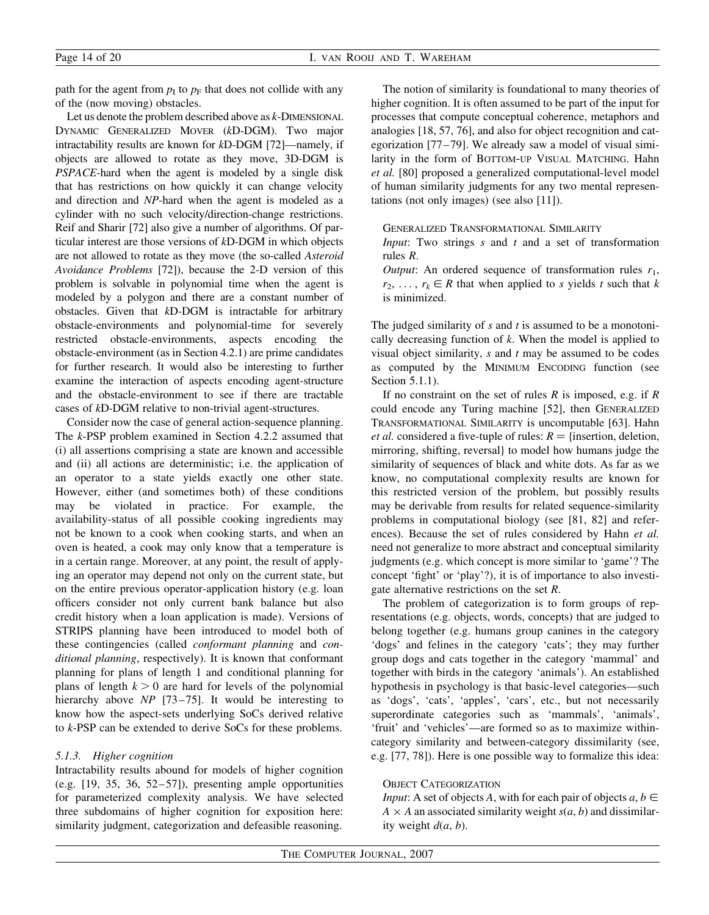path for the agent from  $p_1$  to  $p_F$  that does not collide with any of the (now moving) obstacles.

Let us denote the problem described above as  $k$ -DIMENSIONAL DYNAMIC GENERALIZED MOVER (kD-DGM). Two major intractability results are known for kD-DGM [72]—namely, if objects are allowed to rotate as they move, 3D-DGM is PSPACE-hard when the agent is modeled by a single disk that has restrictions on how quickly it can change velocity and direction and NP-hard when the agent is modeled as a cylinder with no such velocity/direction-change restrictions. Reif and Sharir [72] also give a number of algorithms. Of particular interest are those versions of kD-DGM in which objects are not allowed to rotate as they move (the so-called Asteroid Avoidance Problems [72]), because the 2-D version of this problem is solvable in polynomial time when the agent is modeled by a polygon and there are a constant number of obstacles. Given that kD-DGM is intractable for arbitrary obstacle-environments and polynomial-time for severely restricted obstacle-environments, aspects encoding the obstacle-environment (as in Section 4.2.1) are prime candidates for further research. It would also be interesting to further examine the interaction of aspects encoding agent-structure and the obstacle-environment to see if there are tractable cases of kD-DGM relative to non-trivial agent-structures.

Consider now the case of general action-sequence planning. The k-PSP problem examined in Section 4.2.2 assumed that (i) all assertions comprising a state are known and accessible and (ii) all actions are deterministic; i.e. the application of an operator to a state yields exactly one other state. However, either (and sometimes both) of these conditions may be violated in practice. For example, the availability-status of all possible cooking ingredients may not be known to a cook when cooking starts, and when an oven is heated, a cook may only know that a temperature is in a certain range. Moreover, at any point, the result of applying an operator may depend not only on the current state, but on the entire previous operator-application history (e.g. loan officers consider not only current bank balance but also credit history when a loan application is made). Versions of STRIPS planning have been introduced to model both of these contingencies (called conformant planning and conditional planning, respectively). It is known that conformant planning for plans of length 1 and conditional planning for plans of length  $k > 0$  are hard for levels of the polynomial hierarchy above  $NP$  [73–75]. It would be interesting to know how the aspect-sets underlying SoCs derived relative to k-PSP can be extended to derive SoCs for these problems.

## 5.1.3. Higher cognition

Intractability results abound for models of higher cognition (e.g.  $[19, 35, 36, 52-57]$ ), presenting ample opportunities for parameterized complexity analysis. We have selected three subdomains of higher cognition for exposition here: similarity judgment, categorization and defeasible reasoning.

The notion of similarity is foundational to many theories of higher cognition. It is often assumed to be part of the input for processes that compute conceptual coherence, metaphors and analogies [18, 57, 76], and also for object recognition and categorization [77–79]. We already saw a model of visual similarity in the form of BOTTOM-UP VISUAL MATCHING. Hahn et al. [80] proposed a generalized computational-level model of human similarity judgments for any two mental representations (not only images) (see also [11]).

### GENERALIZED TRANSFORMATIONAL SIMILARITY

*Input*: Two strings s and t and a set of transformation rules R.

Output: An ordered sequence of transformation rules  $r_1$ ,  $r_2, \ldots, r_k \in R$  that when applied to s yields t such that k is minimized.

The judged similarity of  $s$  and  $t$  is assumed to be a monotonically decreasing function of  $k$ . When the model is applied to visual object similarity,  $s$  and  $t$  may be assumed to be codes as computed by the MINIMUM ENCODING function (see Section 5.1.1).

If no constraint on the set of rules  $R$  is imposed, e.g. if  $R$ could encode any Turing machine [52], then GENERALIZED TRANSFORMATIONAL SIMILARITY is uncomputable [63]. Hahn *et al.* considered a five-tuple of rules:  $R =$  {insertion, deletion, mirroring, shifting, reversall to model how humans judge the similarity of sequences of black and white dots. As far as we know, no computational complexity results are known for this restricted version of the problem, but possibly results may be derivable from results for related sequence-similarity problems in computational biology (see [81, 82] and references). Because the set of rules considered by Hahn *et al.* need not generalize to more abstract and conceptual similarity judgments (e.g. which concept is more similar to 'game'? The concept 'fight' or 'play'?), it is of importance to also investigate alternative restrictions on the set R.

The problem of categorization is to form groups of representations (e.g. objects, words, concepts) that are judged to belong together (e.g. humans group canines in the category 'dogs' and felines in the category 'cats'; they may further group dogs and cats together in the category 'mammal' and together with birds in the category 'animals'). An established hypothesis in psychology is that basic-level categories—such as 'dogs', 'cats', 'apples', 'cars', etc., but not necessarily superordinate categories such as 'mammals', 'animals', 'fruit' and 'vehicles'—are formed so as to maximize withincategory similarity and between-category dissimilarity (see, e.g. [77, 78]). Here is one possible way to formalize this idea:

## OBJECT CATEGORIZATION

*Input*: A set of objects A, with for each pair of objects  $a, b \in$  $A \times A$  an associated similarity weight  $s(a, b)$  and dissimilarity weight  $d(a, b)$ .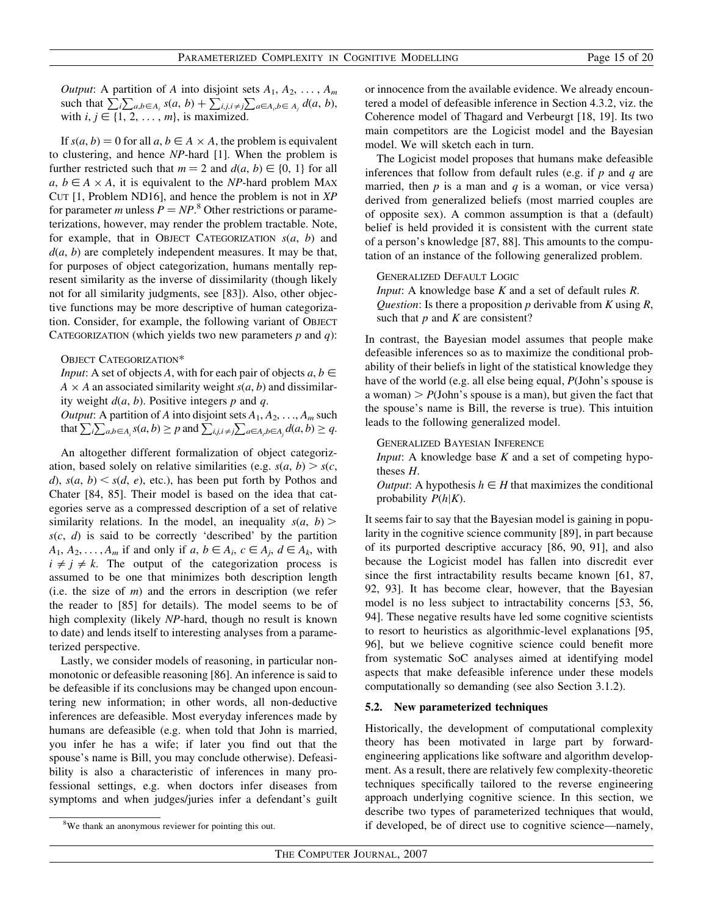Output: A partition of A into disjoint sets  $A_1, A_2, \ldots, A_m$ such that  $\sum_i \sum_{a,b \in A_i} s(a, b) + \sum_{i,j,i \neq j} \sum_{a \in A_i, b \in A_j} d(a, b),$ with  $i, j \in \{1, 2, \ldots, m\}$ , is maximized.

If  $s(a, b) = 0$  for all  $a, b \in A \times A$ , the problem is equivalent to clustering, and hence NP-hard [1]. When the problem is further restricted such that  $m = 2$  and  $d(a, b) \in \{0, 1\}$  for all a,  $b \in A \times A$ , it is equivalent to the NP-hard problem MAX CUT  $[1,$  Problem ND16], and hence the problem is not in  $XP$ for parameter *m* unless  $P = NP$ .<sup>8</sup> Other restrictions or parameterizations, however, may render the problem tractable. Note, for example, that in OBJECT CATEGORIZATION  $s(a, b)$  and  $d(a, b)$  are completely independent measures. It may be that, for purposes of object categorization, humans mentally represent similarity as the inverse of dissimilarity (though likely not for all similarity judgments, see [83]). Also, other objective functions may be more descriptive of human categorization. Consider, for example, the following variant of OBJECT CATEGORIZATION (which yields two new parameters  $p$  and  $q$ ):

#### OBJECT CATEGORIZATION\*

*Input*: A set of objects A, with for each pair of objects  $a, b \in$  $A \times A$  an associated similarity weight  $s(a, b)$  and dissimilarity weight  $d(a, b)$ . Positive integers p and q.

Output: A partition of A into disjoint sets  $A_1, A_2, \ldots, A_m$  such that  $\sum_i \sum_{a,b \in A_i} s(a,b) \ge p$  and  $\sum_{i,j,i \ne j} \sum_{a \in A_j, b \in A_j} d(a,b) \ge q$ .

An altogether different formalization of object categorization, based solely on relative similarities (e.g.  $s(a, b) > s(c, b)$ d),  $s(a, b) \leq s(d, e)$ , etc.), has been put forth by Pothos and Chater [84, 85]. Their model is based on the idea that categories serve as a compressed description of a set of relative similarity relations. In the model, an inequality  $s(a, b)$  $s(c, d)$  is said to be correctly 'described' by the partition  $A_1, A_2, \ldots, A_m$  if and only if  $a, b \in A_i, c \in A_i, d \in A_k$ , with  $i \neq j \neq k$ . The output of the categorization process is assumed to be one that minimizes both description length (i.e. the size of  $m$ ) and the errors in description (we refer the reader to [85] for details). The model seems to be of high complexity (likely NP-hard, though no result is known to date) and lends itself to interesting analyses from a parameterized perspective.

Lastly, we consider models of reasoning, in particular nonmonotonic or defeasible reasoning [86]. An inference is said to be defeasible if its conclusions may be changed upon encountering new information; in other words, all non-deductive inferences are defeasible. Most everyday inferences made by humans are defeasible (e.g. when told that John is married, you infer he has a wife; if later you find out that the spouse's name is Bill, you may conclude otherwise). Defeasibility is also a characteristic of inferences in many professional settings, e.g. when doctors infer diseases from symptoms and when judges/juries infer a defendant's guilt or innocence from the available evidence. We already encountered a model of defeasible inference in Section 4.3.2, viz. the Coherence model of Thagard and Verbeurgt [18, 19]. Its two main competitors are the Logicist model and the Bayesian model. We will sketch each in turn.

The Logicist model proposes that humans make defeasible inferences that follow from default rules (e.g. if  $p$  and  $q$  are married, then  $p$  is a man and  $q$  is a woman, or vice versa) derived from generalized beliefs (most married couples are of opposite sex). A common assumption is that a (default) belief is held provided it is consistent with the current state of a person's knowledge [87, 88]. This amounts to the computation of an instance of the following generalized problem.

GENERALIZED DEFAULT LOGIC

*Input*: A knowledge base  $K$  and a set of default rules  $R$ . *Question*: Is there a proposition p derivable from K using  $R$ , such that  $p$  and  $K$  are consistent?

In contrast, the Bayesian model assumes that people make defeasible inferences so as to maximize the conditional probability of their beliefs in light of the statistical knowledge they have of the world (e.g. all else being equal,  $P(John's spouse is$ a woman)  $\geq P(John's spouse is a man)$ , but given the fact that the spouse's name is Bill, the reverse is true). This intuition leads to the following generalized model.

GENERALIZED BAYESIAN INFERENCE

*Input*: A knowledge base  $K$  and a set of competing hypotheses H.

*Output*: A hypothesis  $h \in H$  that maximizes the conditional probability  $P(h|K)$ .

It seems fair to say that the Bayesian model is gaining in popularity in the cognitive science community [89], in part because of its purported descriptive accuracy [86, 90, 91], and also because the Logicist model has fallen into discredit ever since the first intractability results became known [61, 87, 92, 93]. It has become clear, however, that the Bayesian model is no less subject to intractability concerns [53, 56, 94]. These negative results have led some cognitive scientists to resort to heuristics as algorithmic-level explanations [95, 96], but we believe cognitive science could benefit more from systematic SoC analyses aimed at identifying model aspects that make defeasible inference under these models computationally so demanding (see also Section 3.1.2).

#### 5.2. New parameterized techniques

Historically, the development of computational complexity theory has been motivated in large part by forwardengineering applications like software and algorithm development. As a result, there are relatively few complexity-theoretic techniques specifically tailored to the reverse engineering approach underlying cognitive science. In this section, we describe two types of parameterized techniques that would, if developed, be of direct use to cognitive science—namely,

<sup>&</sup>lt;sup>8</sup>We thank an anonymous reviewer for pointing this out.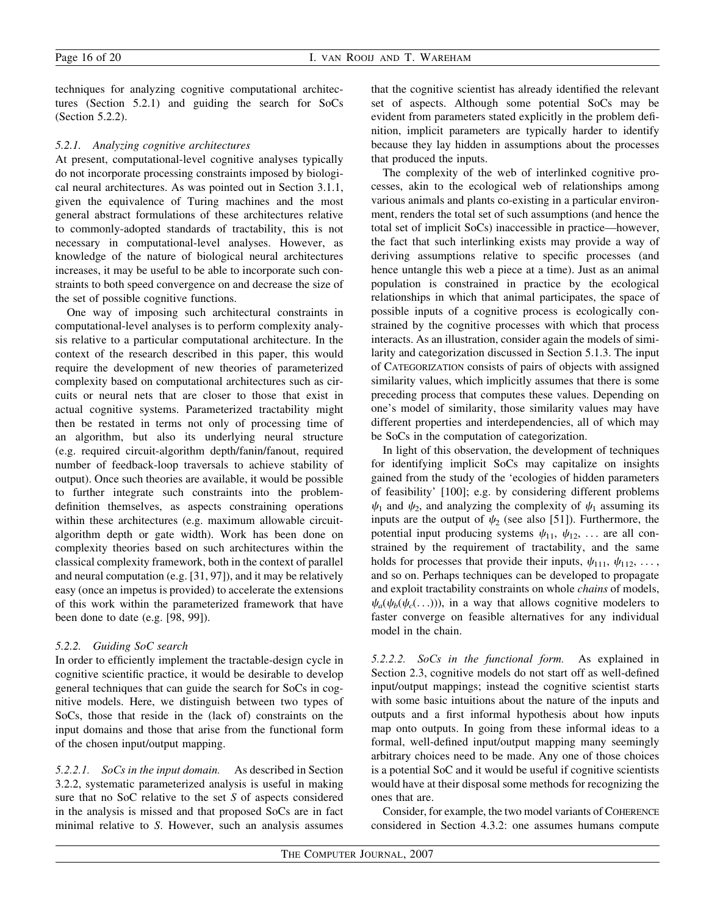techniques for analyzing cognitive computational architectures (Section 5.2.1) and guiding the search for SoCs (Section 5.2.2).

# 5.2.1. Analyzing cognitive architectures

At present, computational-level cognitive analyses typically do not incorporate processing constraints imposed by biological neural architectures. As was pointed out in Section 3.1.1, given the equivalence of Turing machines and the most general abstract formulations of these architectures relative to commonly-adopted standards of tractability, this is not necessary in computational-level analyses. However, as knowledge of the nature of biological neural architectures increases, it may be useful to be able to incorporate such constraints to both speed convergence on and decrease the size of the set of possible cognitive functions.

One way of imposing such architectural constraints in computational-level analyses is to perform complexity analysis relative to a particular computational architecture. In the context of the research described in this paper, this would require the development of new theories of parameterized complexity based on computational architectures such as circuits or neural nets that are closer to those that exist in actual cognitive systems. Parameterized tractability might then be restated in terms not only of processing time of an algorithm, but also its underlying neural structure (e.g. required circuit-algorithm depth/fanin/fanout, required number of feedback-loop traversals to achieve stability of output). Once such theories are available, it would be possible to further integrate such constraints into the problemdefinition themselves, as aspects constraining operations within these architectures (e.g. maximum allowable circuitalgorithm depth or gate width). Work has been done on complexity theories based on such architectures within the classical complexity framework, both in the context of parallel and neural computation (e.g. [31, 97]), and it may be relatively easy (once an impetus is provided) to accelerate the extensions of this work within the parameterized framework that have been done to date (e.g. [98, 99]).

# 5.2.2. Guiding SoC search

In order to efficiently implement the tractable-design cycle in cognitive scientific practice, it would be desirable to develop general techniques that can guide the search for SoCs in cognitive models. Here, we distinguish between two types of SoCs, those that reside in the (lack of) constraints on the input domains and those that arise from the functional form of the chosen input/output mapping.

5.2.2.1. SoCs in the input domain. As described in Section 3.2.2, systematic parameterized analysis is useful in making sure that no SoC relative to the set S of aspects considered in the analysis is missed and that proposed SoCs are in fact minimal relative to S. However, such an analysis assumes that the cognitive scientist has already identified the relevant set of aspects. Although some potential SoCs may be evident from parameters stated explicitly in the problem definition, implicit parameters are typically harder to identify because they lay hidden in assumptions about the processes that produced the inputs.

The complexity of the web of interlinked cognitive processes, akin to the ecological web of relationships among various animals and plants co-existing in a particular environment, renders the total set of such assumptions (and hence the total set of implicit SoCs) inaccessible in practice—however, the fact that such interlinking exists may provide a way of deriving assumptions relative to specific processes (and hence untangle this web a piece at a time). Just as an animal population is constrained in practice by the ecological relationships in which that animal participates, the space of possible inputs of a cognitive process is ecologically constrained by the cognitive processes with which that process interacts. As an illustration, consider again the models of similarity and categorization discussed in Section 5.1.3. The input of CATEGORIZATION consists of pairs of objects with assigned similarity values, which implicitly assumes that there is some preceding process that computes these values. Depending on one's model of similarity, those similarity values may have different properties and interdependencies, all of which may be SoCs in the computation of categorization.

In light of this observation, the development of techniques for identifying implicit SoCs may capitalize on insights gained from the study of the 'ecologies of hidden parameters of feasibility' [100]; e.g. by considering different problems  $\psi_1$  and  $\psi_2$ , and analyzing the complexity of  $\psi_1$  assuming its inputs are the output of  $\psi_2$  (see also [51]). Furthermore, the potential input producing systems  $\psi_{11}$ ,  $\psi_{12}$ , ... are all constrained by the requirement of tractability, and the same holds for processes that provide their inputs,  $\psi_{111}, \psi_{112}, \ldots$ , and so on. Perhaps techniques can be developed to propagate and exploit tractability constraints on whole chains of models,  $\psi_a(\psi_b(\psi_c(\ldots)))$ , in a way that allows cognitive modelers to faster converge on feasible alternatives for any individual model in the chain.

5.2.2.2. SoCs in the functional form. As explained in Section 2.3, cognitive models do not start off as well-defined input/output mappings; instead the cognitive scientist starts with some basic intuitions about the nature of the inputs and outputs and a first informal hypothesis about how inputs map onto outputs. In going from these informal ideas to a formal, well-defined input/output mapping many seemingly arbitrary choices need to be made. Any one of those choices is a potential SoC and it would be useful if cognitive scientists would have at their disposal some methods for recognizing the ones that are.

Consider, for example, the two model variants of COHERENCE considered in Section 4.3.2: one assumes humans compute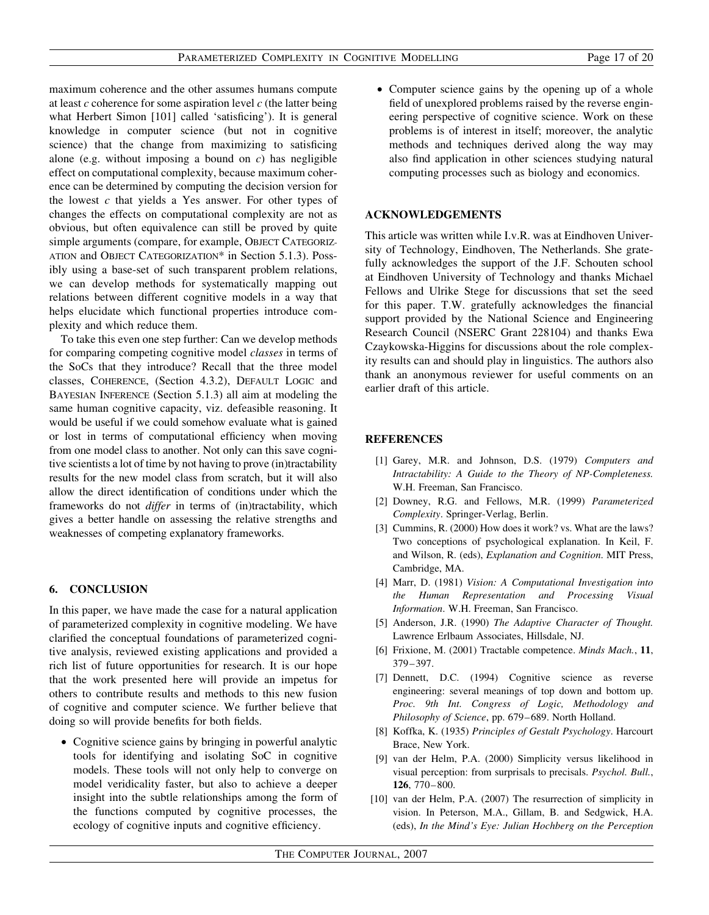maximum coherence and the other assumes humans compute at least  $c$  coherence for some aspiration level  $c$  (the latter being what Herbert Simon [101] called 'satisficing'). It is general knowledge in computer science (but not in cognitive science) that the change from maximizing to satisficing alone (e.g. without imposing a bound on  $c$ ) has negligible effect on computational complexity, because maximum coherence can be determined by computing the decision version for the lowest  $c$  that yields a Yes answer. For other types of changes the effects on computational complexity are not as obvious, but often equivalence can still be proved by quite simple arguments (compare, for example, OBJECT CATEGORIZ-ATION and OBJECT CATEGORIZATION\* in Section 5.1.3). Possibly using a base-set of such transparent problem relations, we can develop methods for systematically mapping out relations between different cognitive models in a way that helps elucidate which functional properties introduce complexity and which reduce them.

To take this even one step further: Can we develop methods for comparing competing cognitive model classes in terms of the SoCs that they introduce? Recall that the three model classes, COHERENCE, (Section 4.3.2), DEFAULT LOGIC and BAYESIAN INFERENCE (Section 5.1.3) all aim at modeling the same human cognitive capacity, viz. defeasible reasoning. It would be useful if we could somehow evaluate what is gained or lost in terms of computational efficiency when moving from one model class to another. Not only can this save cognitive scientists a lot of time by not having to prove (in)tractability results for the new model class from scratch, but it will also allow the direct identification of conditions under which the frameworks do not differ in terms of (in)tractability, which gives a better handle on assessing the relative strengths and weaknesses of competing explanatory frameworks.

# 6. CONCLUSION

In this paper, we have made the case for a natural application of parameterized complexity in cognitive modeling. We have clarified the conceptual foundations of parameterized cognitive analysis, reviewed existing applications and provided a rich list of future opportunities for research. It is our hope that the work presented here will provide an impetus for others to contribute results and methods to this new fusion of cognitive and computer science. We further believe that doing so will provide benefits for both fields.

• Cognitive science gains by bringing in powerful analytic tools for identifying and isolating SoC in cognitive models. These tools will not only help to converge on model veridicality faster, but also to achieve a deeper insight into the subtle relationships among the form of the functions computed by cognitive processes, the ecology of cognitive inputs and cognitive efficiency.

• Computer science gains by the opening up of a whole field of unexplored problems raised by the reverse engineering perspective of cognitive science. Work on these problems is of interest in itself; moreover, the analytic methods and techniques derived along the way may also find application in other sciences studying natural computing processes such as biology and economics.

# ACKNOWLEDGEMENTS

This article was written while I.v.R. was at Eindhoven University of Technology, Eindhoven, The Netherlands. She gratefully acknowledges the support of the J.F. Schouten school at Eindhoven University of Technology and thanks Michael Fellows and Ulrike Stege for discussions that set the seed for this paper. T.W. gratefully acknowledges the financial support provided by the National Science and Engineering Research Council (NSERC Grant 228104) and thanks Ewa Czaykowska-Higgins for discussions about the role complexity results can and should play in linguistics. The authors also thank an anonymous reviewer for useful comments on an earlier draft of this article.

# **REFERENCES**

- [1] Garey, M.R. and Johnson, D.S. (1979) Computers and Intractability: A Guide to the Theory of NP-Completeness. W.H. Freeman, San Francisco.
- [2] Downey, R.G. and Fellows, M.R. (1999) Parameterized Complexity. Springer-Verlag, Berlin.
- [3] Cummins, R. (2000) How does it work? vs. What are the laws? Two conceptions of psychological explanation. In Keil, F. and Wilson, R. (eds), Explanation and Cognition. MIT Press, Cambridge, MA.
- [4] Marr, D. (1981) Vision: A Computational Investigation into the Human Representation and Processing Visual Information. W.H. Freeman, San Francisco.
- [5] Anderson, J.R. (1990) The Adaptive Character of Thought. Lawrence Erlbaum Associates, Hillsdale, NJ.
- [6] Frixione, M. (2001) Tractable competence. Minds Mach., 11, 379–397.
- [7] Dennett, D.C. (1994) Cognitive science as reverse engineering: several meanings of top down and bottom up. Proc. 9th Int. Congress of Logic, Methodology and Philosophy of Science, pp. 679–689. North Holland.
- [8] Koffka, K. (1935) Principles of Gestalt Psychology. Harcourt Brace, New York.
- [9] van der Helm, P.A. (2000) Simplicity versus likelihood in visual perception: from surprisals to precisals. Psychol. Bull., 126, 770–800.
- [10] van der Helm, P.A. (2007) The resurrection of simplicity in vision. In Peterson, M.A., Gillam, B. and Sedgwick, H.A. (eds), In the Mind's Eye: Julian Hochberg on the Perception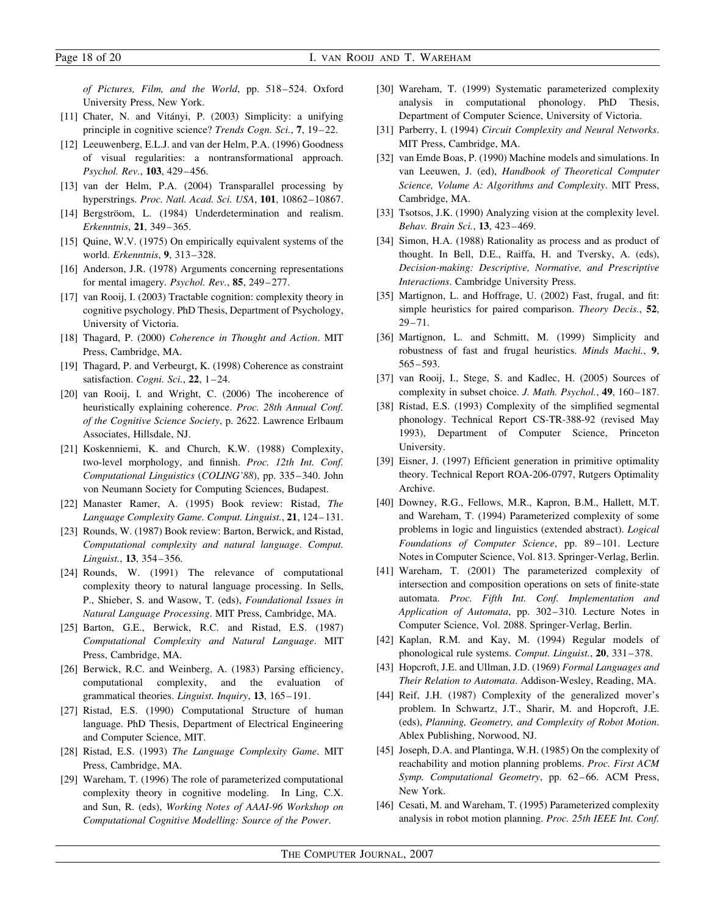of Pictures, Film, and the World, pp. 518–524. Oxford University Press, New York.

- [11] Chater, N. and Vitányi, P. (2003) Simplicity: a unifying principle in cognitive science? Trends Cogn. Sci., 7, 19–22.
- [12] Leeuwenberg, E.L.J. and van der Helm, P.A. (1996) Goodness of visual regularities: a nontransformational approach. Psychol. Rev., 103, 429–456.
- [13] van der Helm, P.A. (2004) Transparallel processing by hyperstrings. Proc. Natl. Acad. Sci. USA, 101, 10862–10867.
- [14] Bergströom, L. (1984) Underdetermination and realism. Erkenntnis, 21, 349–365.
- [15] Quine, W.V. (1975) On empirically equivalent systems of the world. Erkenntnis, 9, 313–328.
- [16] Anderson, J.R. (1978) Arguments concerning representations for mental imagery. Psychol. Rev., 85, 249–277.
- [17] van Rooij, I. (2003) Tractable cognition: complexity theory in cognitive psychology. PhD Thesis, Department of Psychology, University of Victoria.
- [18] Thagard, P. (2000) Coherence in Thought and Action. MIT Press, Cambridge, MA.
- [19] Thagard, P. and Verbeurgt, K. (1998) Coherence as constraint satisfaction. Cogni. Sci., 22, 1-24.
- [20] van Rooij, I. and Wright, C. (2006) The incoherence of heuristically explaining coherence. Proc. 28th Annual Conf. of the Cognitive Science Society, p. 2622. Lawrence Erlbaum Associates, Hillsdale, NJ.
- [21] Koskenniemi, K. and Church, K.W. (1988) Complexity, two-level morphology, and finnish. Proc. 12th Int. Conf. Computational Linguistics (COLING'88), pp. 335–340. John von Neumann Society for Computing Sciences, Budapest.
- [22] Manaster Ramer, A. (1995) Book review: Ristad, The Language Complexity Game. Comput. Linguist., 21, 124–131.
- [23] Rounds, W. (1987) Book review: Barton, Berwick, and Ristad, Computational complexity and natural language. Comput. Linguist., 13, 354–356.
- [24] Rounds, W. (1991) The relevance of computational complexity theory to natural language processing. In Sells, P., Shieber, S. and Wasow, T. (eds), Foundational Issues in Natural Language Processing. MIT Press, Cambridge, MA.
- [25] Barton, G.E., Berwick, R.C. and Ristad, E.S. (1987) Computational Complexity and Natural Language. MIT Press, Cambridge, MA.
- [26] Berwick, R.C. and Weinberg, A. (1983) Parsing efficiency, computational complexity, and the evaluation of grammatical theories. Linguist. Inquiry, 13, 165–191.
- [27] Ristad, E.S. (1990) Computational Structure of human language. PhD Thesis, Department of Electrical Engineering and Computer Science, MIT.
- [28] Ristad, E.S. (1993) The Language Complexity Game. MIT Press, Cambridge, MA.
- [29] Wareham, T. (1996) The role of parameterized computational complexity theory in cognitive modeling. In Ling, C.X. and Sun, R. (eds), Working Notes of AAAI-96 Workshop on Computational Cognitive Modelling: Source of the Power.
- [30] Wareham, T. (1999) Systematic parameterized complexity analysis in computational phonology. PhD Thesis, Department of Computer Science, University of Victoria.
- [31] Parberry, I. (1994) Circuit Complexity and Neural Networks. MIT Press, Cambridge, MA.
- [32] van Emde Boas, P. (1990) Machine models and simulations. In van Leeuwen, J. (ed), Handbook of Theoretical Computer Science, Volume A: Algorithms and Complexity. MIT Press, Cambridge, MA.
- [33] Tsotsos, J.K. (1990) Analyzing vision at the complexity level. Behav. Brain Sci., 13, 423–469.
- [34] Simon, H.A. (1988) Rationality as process and as product of thought. In Bell, D.E., Raiffa, H. and Tversky, A. (eds), Decision-making: Descriptive, Normative, and Prescriptive Interactions. Cambridge University Press.
- [35] Martignon, L. and Hoffrage, U. (2002) Fast, frugal, and fit: simple heuristics for paired comparison. Theory Decis., 52, 29–71.
- [36] Martignon, L. and Schmitt, M. (1999) Simplicity and robustness of fast and frugal heuristics. Minds Machi., 9, 565–593.
- [37] van Rooij, I., Stege, S. and Kadlec, H. (2005) Sources of complexity in subset choice. J. Math. Psychol., 49, 160–187.
- [38] Ristad, E.S. (1993) Complexity of the simplified segmental phonology. Technical Report CS-TR-388-92 (revised May 1993), Department of Computer Science, Princeton University.
- [39] Eisner, J. (1997) Efficient generation in primitive optimality theory. Technical Report ROA-206-0797, Rutgers Optimality Archive.
- [40] Downey, R.G., Fellows, M.R., Kapron, B.M., Hallett, M.T. and Wareham, T. (1994) Parameterized complexity of some problems in logic and linguistics (extended abstract). Logical Foundations of Computer Science, pp. 89–101. Lecture Notes in Computer Science, Vol. 813. Springer-Verlag, Berlin.
- [41] Wareham, T. (2001) The parameterized complexity of intersection and composition operations on sets of finite-state automata. Proc. Fifth Int. Conf. Implementation and Application of Automata, pp. 302–310. Lecture Notes in Computer Science, Vol. 2088. Springer-Verlag, Berlin.
- [42] Kaplan, R.M. and Kay, M. (1994) Regular models of phonological rule systems. Comput. Linguist., 20, 331–378.
- [43] Hopcroft, J.E. and Ullman, J.D. (1969) Formal Languages and Their Relation to Automata. Addison-Wesley, Reading, MA.
- [44] Reif, J.H. (1987) Complexity of the generalized mover's problem. In Schwartz, J.T., Sharir, M. and Hopcroft, J.E. (eds), Planning, Geometry, and Complexity of Robot Motion. Ablex Publishing, Norwood, NJ.
- [45] Joseph, D.A. and Plantinga, W.H. (1985) On the complexity of reachability and motion planning problems. Proc. First ACM Symp. Computational Geometry, pp. 62–66. ACM Press, New York.
- [46] Cesati, M. and Wareham, T. (1995) Parameterized complexity analysis in robot motion planning. Proc. 25th IEEE Int. Conf.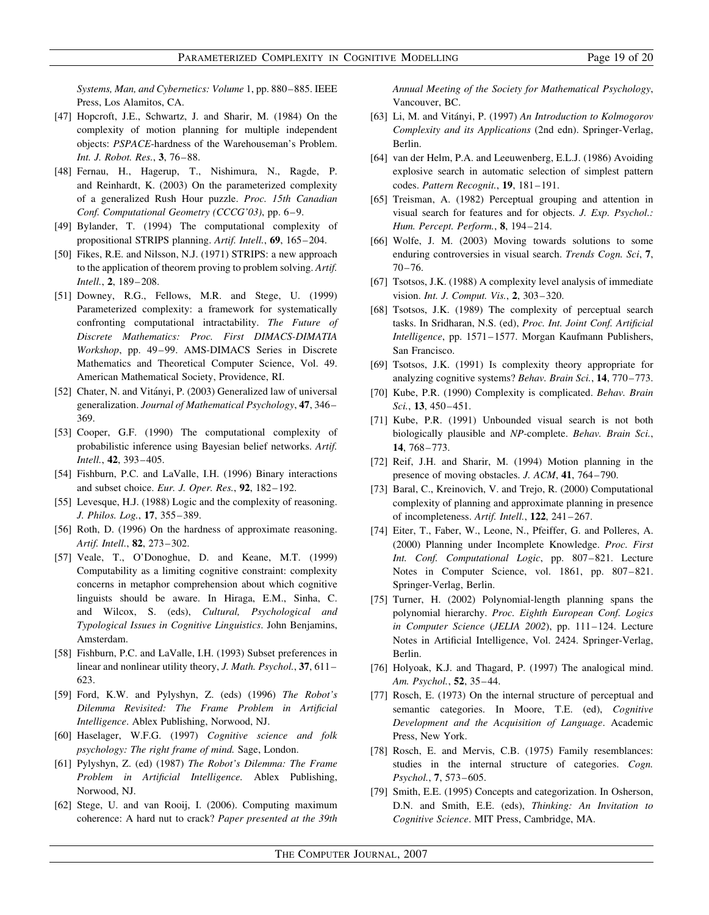Systems, Man, and Cybernetics: Volume 1, pp. 880–885. IEEE Press, Los Alamitos, CA.

- [47] Hopcroft, J.E., Schwartz, J. and Sharir, M. (1984) On the complexity of motion planning for multiple independent objects: PSPACE-hardness of the Warehouseman's Problem. Int. J. Robot. Res., 3, 76–88.
- [48] Fernau, H., Hagerup, T., Nishimura, N., Ragde, P. and Reinhardt, K. (2003) On the parameterized complexity of a generalized Rush Hour puzzle. Proc. 15th Canadian Conf. Computational Geometry (CCCG'03), pp. 6–9.
- [49] Bylander, T. (1994) The computational complexity of propositional STRIPS planning. Artif. Intell., 69, 165–204.
- [50] Fikes, R.E. and Nilsson, N.J. (1971) STRIPS: a new approach to the application of theorem proving to problem solving. Artif. Intell., 2, 189–208.
- [51] Downey, R.G., Fellows, M.R. and Stege, U. (1999) Parameterized complexity: a framework for systematically confronting computational intractability. The Future of Discrete Mathematics: Proc. First DIMACS-DIMATIA Workshop, pp. 49–99. AMS-DIMACS Series in Discrete Mathematics and Theoretical Computer Science, Vol. 49. American Mathematical Society, Providence, RI.
- [52] Chater, N. and Vitányi, P. (2003) Generalized law of universal generalization. Journal of Mathematical Psychology, 47, 346– 369.
- [53] Cooper, G.F. (1990) The computational complexity of probabilistic inference using Bayesian belief networks. Artif. Intell., 42, 393–405.
- [54] Fishburn, P.C. and LaValle, I.H. (1996) Binary interactions and subset choice. Eur. J. Oper. Res., 92, 182–192.
- [55] Levesque, H.J. (1988) Logic and the complexity of reasoning. J. Philos. Log., 17, 355–389.
- [56] Roth, D. (1996) On the hardness of approximate reasoning. Artif. Intell., 82, 273–302.
- [57] Veale, T., O'Donoghue, D. and Keane, M.T. (1999) Computability as a limiting cognitive constraint: complexity concerns in metaphor comprehension about which cognitive linguists should be aware. In Hiraga, E.M., Sinha, C. and Wilcox, S. (eds), Cultural, Psychological and Typological Issues in Cognitive Linguistics. John Benjamins, Amsterdam.
- [58] Fishburn, P.C. and LaValle, I.H. (1993) Subset preferences in linear and nonlinear utility theory, *J. Math. Psychol.*, 37, 611– 623.
- [59] Ford, K.W. and Pylyshyn, Z. (eds) (1996) The Robot's Dilemma Revisited: The Frame Problem in Artificial Intelligence. Ablex Publishing, Norwood, NJ.
- [60] Haselager, W.F.G. (1997) Cognitive science and folk psychology: The right frame of mind. Sage, London.
- [61] Pylyshyn, Z. (ed) (1987) The Robot's Dilemma: The Frame Problem in Artificial Intelligence. Ablex Publishing, Norwood, NJ.
- [62] Stege, U. and van Rooij, I. (2006). Computing maximum coherence: A hard nut to crack? Paper presented at the 39th

Annual Meeting of the Society for Mathematical Psychology, Vancouver, BC.

- [63] Li, M. and Vitányi, P. (1997) An Introduction to Kolmogorov Complexity and its Applications (2nd edn). Springer-Verlag, Berlin.
- [64] van der Helm, P.A. and Leeuwenberg, E.L.J. (1986) Avoiding explosive search in automatic selection of simplest pattern codes. Pattern Recognit., 19, 181–191.
- [65] Treisman, A. (1982) Perceptual grouping and attention in visual search for features and for objects. J. Exp. Psychol.: Hum. Percept. Perform., 8, 194–214.
- [66] Wolfe, J. M. (2003) Moving towards solutions to some enduring controversies in visual search. Trends Cogn. Sci, 7, 70–76.
- [67] Tsotsos, J.K. (1988) A complexity level analysis of immediate vision. Int. J. Comput. Vis., 2, 303–320.
- [68] Tsotsos, J.K. (1989) The complexity of perceptual search tasks. In Sridharan, N.S. (ed), Proc. Int. Joint Conf. Artificial Intelligence, pp. 1571–1577. Morgan Kaufmann Publishers, San Francisco.
- [69] Tsotsos, J.K. (1991) Is complexity theory appropriate for analyzing cognitive systems? Behav. Brain Sci., 14, 770–773.
- [70] Kube, P.R. (1990) Complexity is complicated. Behav. Brain Sci., 13, 450–451.
- [71] Kube, P.R. (1991) Unbounded visual search is not both biologically plausible and NP-complete. Behav. Brain Sci., 14, 768–773.
- [72] Reif, J.H. and Sharir, M. (1994) Motion planning in the presence of moving obstacles. J. ACM, 41, 764–790.
- [73] Baral, C., Kreinovich, V. and Trejo, R. (2000) Computational complexity of planning and approximate planning in presence of incompleteness. Artif. Intell., 122, 241–267.
- [74] Eiter, T., Faber, W., Leone, N., Pfeiffer, G. and Polleres, A. (2000) Planning under Incomplete Knowledge. Proc. First Int. Conf. Computational Logic, pp. 807–821. Lecture Notes in Computer Science, vol. 1861, pp. 807–821. Springer-Verlag, Berlin.
- [75] Turner, H. (2002) Polynomial-length planning spans the polynomial hierarchy. Proc. Eighth European Conf. Logics in Computer Science (JELIA 2002), pp. 111–124. Lecture Notes in Artificial Intelligence, Vol. 2424. Springer-Verlag, Berlin.
- [76] Holyoak, K.J. and Thagard, P. (1997) The analogical mind. Am. Psychol., 52, 35–44.
- [77] Rosch, E. (1973) On the internal structure of perceptual and semantic categories. In Moore, T.E. (ed), Cognitive Development and the Acquisition of Language. Academic Press, New York.
- [78] Rosch, E. and Mervis, C.B. (1975) Family resemblances: studies in the internal structure of categories. Cogn. Psychol., 7, 573–605.
- [79] Smith, E.E. (1995) Concepts and categorization. In Osherson, D.N. and Smith, E.E. (eds), Thinking: An Invitation to Cognitive Science. MIT Press, Cambridge, MA.